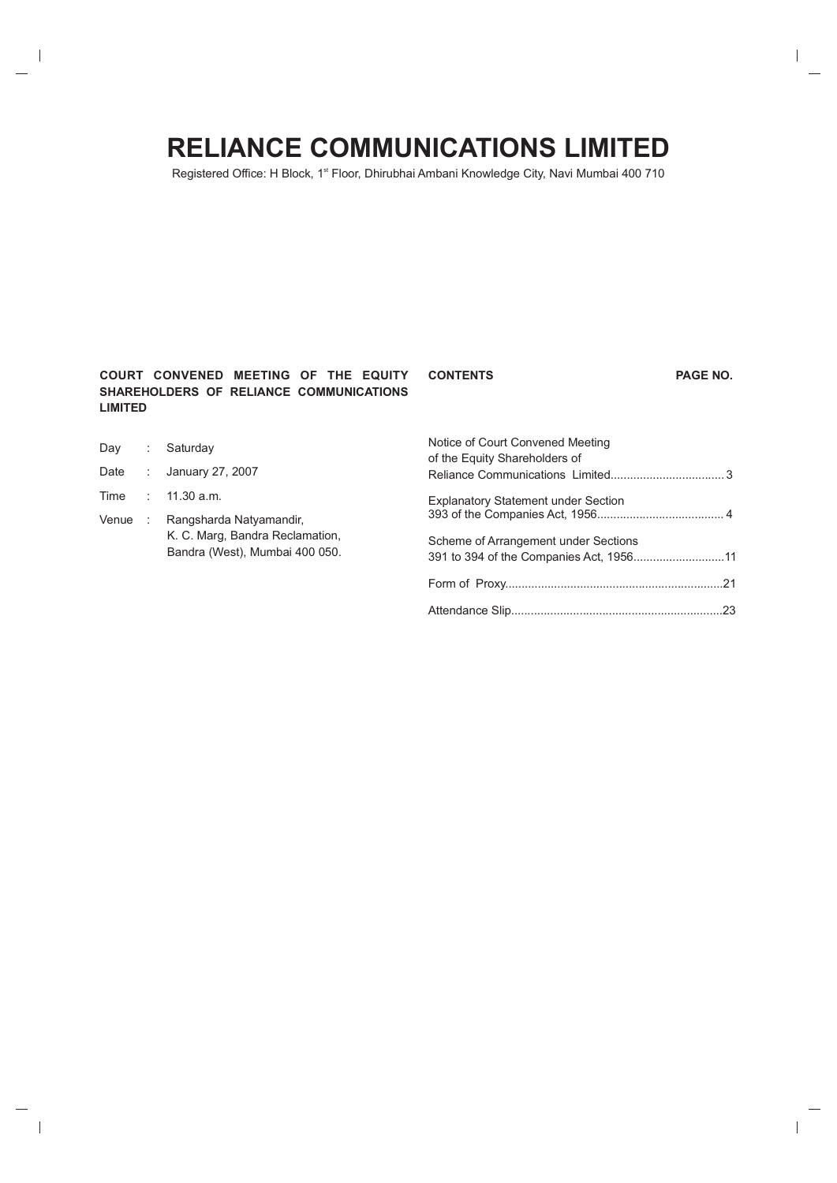# **RELIANCE COMMUNICATIONS LIMITED**

Registered Office: H Block, 1<sup>st</sup> Floor, Dhirubhai Ambani Knowledge City, Navi Mumbai 400 710

### **COURT CONVENED MEETING OF THE EQUITY SHAREHOLDERS OF RELIANCE COMMUNICATIONS LIMITED**

 $\overline{\phantom{a}}$ 

 $\mathbf{I}$ 

### **CONTENTS PAGE NO.**

 $\overline{\phantom{a}}$ 

| Day  | ÷. | Saturday                                                          | Notice of Court Convened Meeting           |  |
|------|----|-------------------------------------------------------------------|--------------------------------------------|--|
| Date |    | : January 27, 2007                                                | of the Equity Shareholders of              |  |
|      |    | Time : 11.30 a.m.                                                 | <b>Explanatory Statement under Section</b> |  |
|      |    | Venue : Rangsharda Natyamandir,                                   |                                            |  |
|      |    | K. C. Marg, Bandra Reclamation,<br>Bandra (West), Mumbai 400 050. | Scheme of Arrangement under Sections       |  |
|      |    |                                                                   |                                            |  |
|      |    |                                                                   |                                            |  |
|      |    |                                                                   |                                            |  |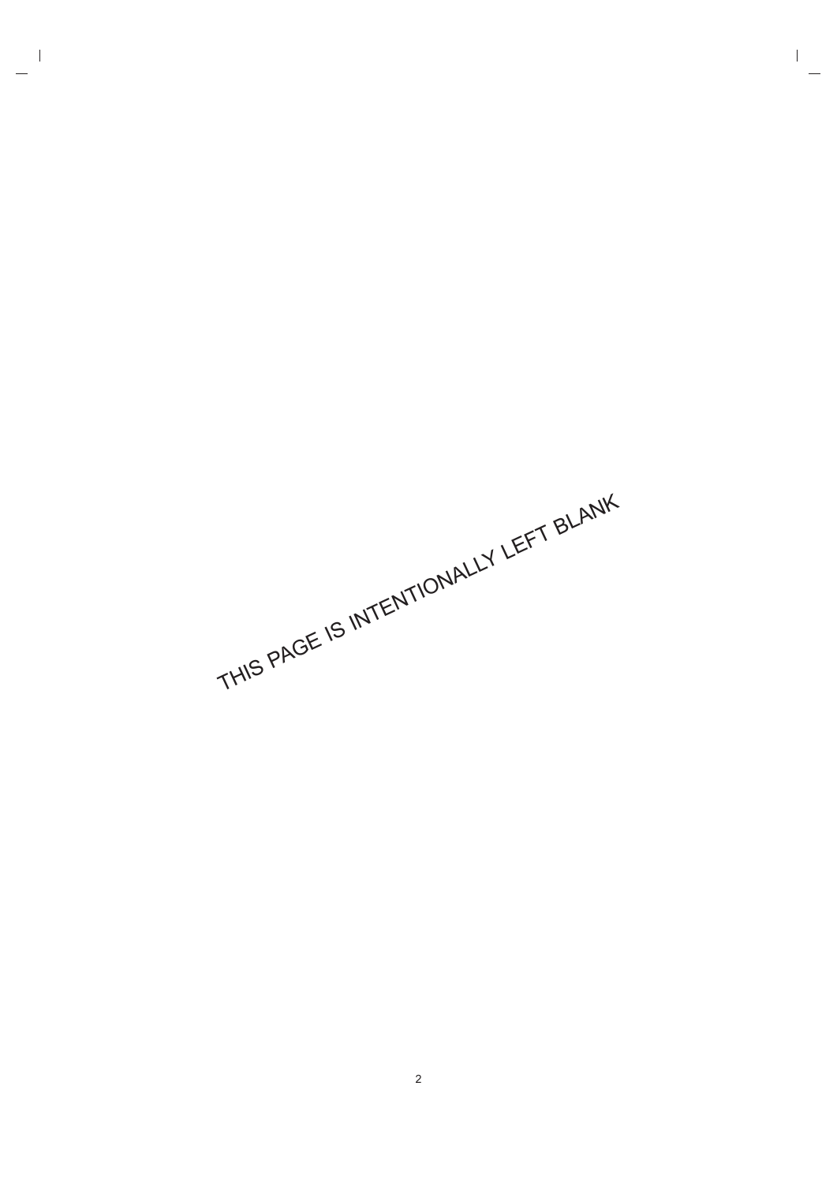THIS PAGE IS INTENTIONALLY LEFT BLANK S PAGE L B

 $\bar{\bar{\bar{z}}}$ 

 $\frac{1}{2}$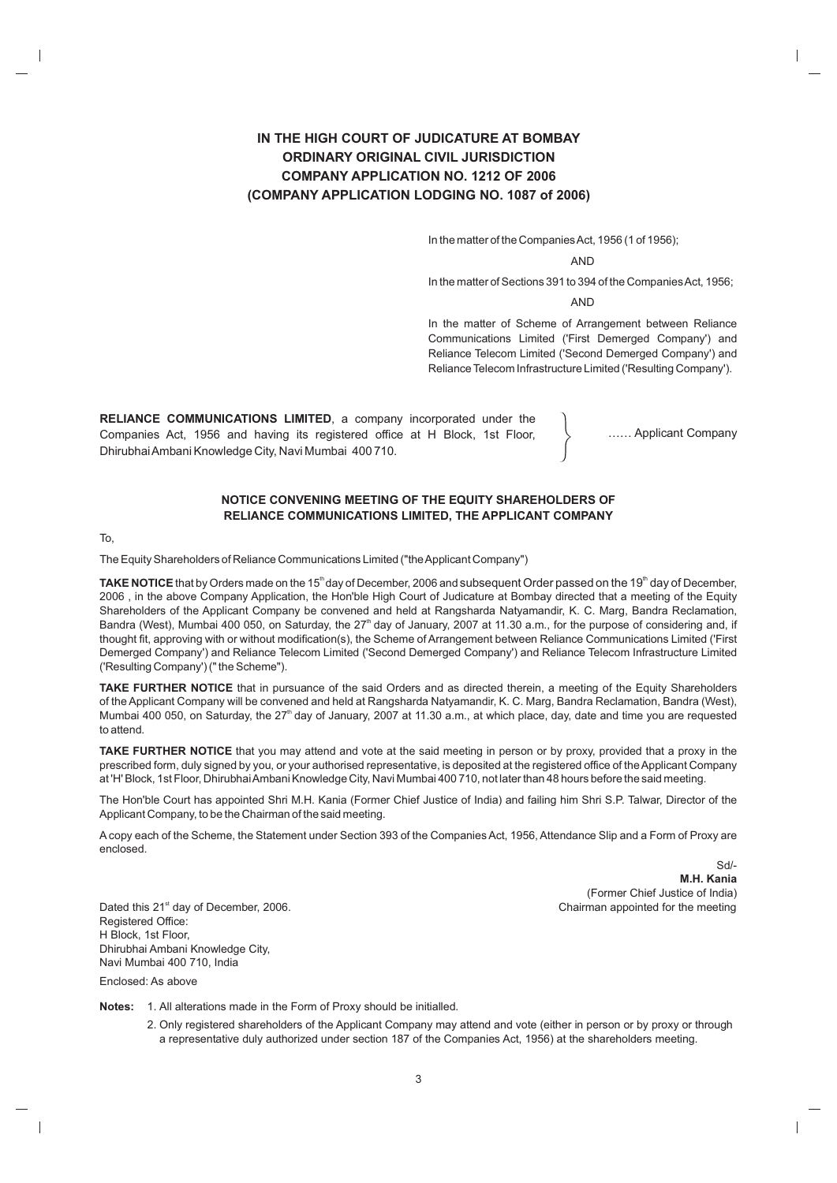### **IN THE HIGH COURT OF JUDICATURE AT BOMBAY ORDINARY ORIGINAL CIVIL JURISDICTION COMPANY APPLICATION NO. 1212 OF 2006 (COMPANY APPLICATION LODGING NO. 1087 of 2006)**

In the matter of the Companies Act, 1956 (1 of 1956);

**AND** 

In the matter of Sections 391 to 394 of the Companies Act, 1956;

AND

In the matter of Scheme of Arrangement between Reliance Communications Limited ('First Demerged Company') and Reliance Telecom Limited ('Second Demerged Company') and Reliance Telecom Infrastructure Limited ('Resulting Company').

**RELIANCE COMMUNICATIONS LIMITED**, a company incorporated under the Companies Act, 1956 and having its registered office at H Block, 1st Floor, Dhirubhai Ambani Knowledge City, Navi Mumbai 400 710.

…… Applicant Company

### **NOTICE CONVENING MEETING OF THE EQUITY SHAREHOLDERS OF RELIANCE COMMUNICATIONS LIMITED, THE APPLICANT COMPANY**

To,

The Equity Shareholders of Reliance Communications Limited ("the Applicant Company")

TAKE NOTICE that by Orders made on the 15<sup>th</sup> day of December, 2006 and subsequent Order passed on the 19<sup>th</sup> day of December, 2006 , in the above Company Application, the Hon'ble High Court of Judicature at Bombay directed that a meeting of the Equity Shareholders of the Applicant Company be convened and held at Rangsharda Natyamandir, K. C. Marg, Bandra Reclamation, Bandra (West), Mumbai 400 050, on Saturday, the 27<sup>th</sup> day of January, 2007 at 11.30 a.m., for the purpose of considering and, if thought fit, approving with or without modification(s), the Scheme of Arrangement between Reliance Communications Limited ('First Demerged Company') and Reliance Telecom Limited ('Second Demerged Company') and Reliance Telecom Infrastructure Limited ('Resulting Company') (" the Scheme").

**TAKE FURTHER NOTICE** that in pursuance of the said Orders and as directed therein, a meeting of the Equity Shareholders of the Applicant Company will be convened and held at Rangsharda Natyamandir, K. C. Marg, Bandra Reclamation, Bandra (West), Mumbai 400 050, on Saturday, the 27<sup>th</sup> day of January, 2007 at 11.30 a.m., at which place, day, date and time you are requested to attend.

**TAKE FURTHER NOTICE** that you may attend and vote at the said meeting in person or by proxy, provided that a proxy in the prescribed form, duly signed by you, or your authorised representative, is deposited at the registered office of the Applicant Company at 'H' Block, 1st Floor, Dhirubhai Ambani Knowledge City, Navi Mumbai 400 710, not later than 48 hours before the said meeting.

The Hon'ble Court has appointed Shri M.H. Kania (Former Chief Justice of India) and failing him Shri S.P. Talwar, Director of the Applicant Company, to be the Chairman of the said meeting.

Acopy each of the Scheme, the Statement under Section 393 of the Companies Act, 1956, Attendance Slip and a Form of Proxy are enclosed.

Sd/- **M.H. Kania** (Former Chief Justice of India) Dated this 21<sup><sup>t</sup></sup> day of December, 2006. Chairman appointed for the meeting

Registered Office: H Block, 1st Floor, Dhirubhai Ambani Knowledge City, Navi Mumbai 400 710, India

Enclosed: As above

**Notes:** 1. All alterations made in the Form of Proxy should be initialled.

2. Only registered shareholders of the Applicant Company may attend and vote (either in person or by proxy or through a representative duly authorized under section 187 of the Companies Act, 1956) at the shareholders meeting.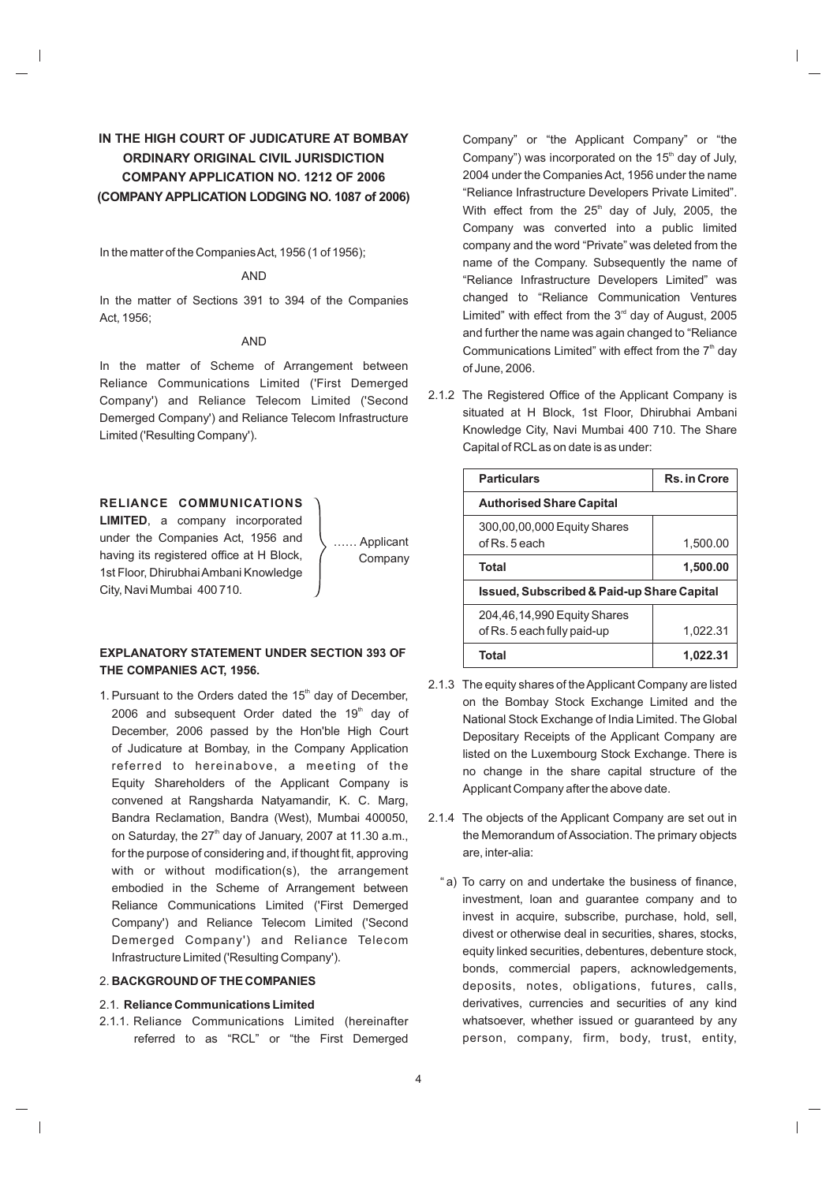### **IN THE HIGH COURT OF JUDICATURE AT BOMBAY ORDINARY ORIGINAL CIVIL JURISDICTION COMPANY APPLICATION NO. 1212 OF 2006 (COMPANY APPLICATION LODGING NO. 1087 of 2006)**

In the matter of the Companies Act, 1956 (1 of 1956);

### AND

In the matter of Sections 391 to 394 of the Companies Act, 1956;

#### AND

In the matter of Scheme of Arrangement between Reliance Communications Limited ('First Demerged Company') and Reliance Telecom Limited ('Second Demerged Company') and Reliance Telecom Infrastructure Limited ('Resulting Company').

**RELIANCE COMMUNICATIONS LIMITED**, a company incorporated under the Companies Act, 1956 and having its registered office at H Block, 1st Floor, Dhirubhai Ambani Knowledge City, Navi Mumbai 400 710.

…… Applicant Company

### **EXPLANATORY STATEMENT UNDER SECTION 393 OF THE COMPANIES ACT, 1956.**

1. Pursuant to the Orders dated the  $15<sup>th</sup>$  day of December, 2006 and subsequent Order dated the  $19<sup>th</sup>$  day of December, 2006 passed by the Hon'ble High Court of Judicature at Bombay, in the Company Application referred to hereinabove, a meeting of the Equity Shareholders of the Applicant Company is convened at Rangsharda Natyamandir, K. C. Marg, Bandra Reclamation, Bandra (West), Mumbai 400050, on Saturday, the  $27<sup>th</sup>$  day of January, 2007 at 11.30 a.m., for the purpose of considering and, if thought fit, approving with or without modification(s), the arrangement embodied in the Scheme of Arrangement between Reliance Communications Limited ('First Demerged Company') and Reliance Telecom Limited ('Second Demerged Company') and Reliance Telecom Infrastructure Limited ('Resulting Company').

### 2. **BACKGROUND OF THE COMPANIES**

#### 2.1. **Reliance Communications Limited**

2.1.1. Reliance Communications Limited (hereinafter referred to as "RCL" or "the First Demerged Company" or "the Applicant Company" or "the Company") was incorporated on the  $15<sup>th</sup>$  day of July, 2004 under the Companies Act, 1956 under the name "Reliance Infrastructure Developers Private Limited". With effect from the  $25<sup>th</sup>$  day of July, 2005, the Company was converted into a public limited company and the word "Private" was deleted from the name of the Company. Subsequently the name of "Reliance Infrastructure Developers Limited" was changed to "Reliance Communication Ventures Limited" with effect from the  $3<sup>rd</sup>$  day of August, 2005 and further the name was again changed to "Reliance Communications Limited" with effect from the  $7<sup>th</sup>$  day of June, 2006.

2.1.2 The Registered Office of the Applicant Company is situated at H Block, 1st Floor, Dhirubhai Ambani Knowledge City, Navi Mumbai 400 710. The Share Capital of RCLas on date is as under:

| <b>Particulars</b>                                         | Rs. in Crore |  |  |  |
|------------------------------------------------------------|--------------|--|--|--|
| <b>Authorised Share Capital</b>                            |              |  |  |  |
| 300,00,00,000 Equity Shares<br>of Rs. 5 each               | 1.500.00     |  |  |  |
| Total                                                      | 1.500.00     |  |  |  |
| <b>Issued, Subscribed &amp; Paid-up Share Capital</b>      |              |  |  |  |
| 204,46,14,990 Equity Shares<br>of Rs. 5 each fully paid-up | 1.022.31     |  |  |  |
| Total                                                      | 1.022.31     |  |  |  |

- 2.1.3 The equity shares of the Applicant Company are listed on the Bombay Stock Exchange Limited and the National Stock Exchange of India Limited. The Global Depositary Receipts of the Applicant Company are listed on the Luxembourg Stock Exchange. There is no change in the share capital structure of the Applicant Company after the above date.
- 2.1.4 The objects of the Applicant Company are set out in the Memorandum of Association. The primary objects are, inter-alia:
	- " a) To carry on and undertake the business of finance, investment, loan and guarantee company and to invest in acquire, subscribe, purchase, hold, sell, divest or otherwise deal in securities, shares, stocks, equity linked securities, debentures, debenture stock, bonds, commercial papers, acknowledgements, deposits, notes, obligations, futures, calls, derivatives, currencies and securities of any kind whatsoever, whether issued or guaranteed by any person, company, firm, body, trust, entity,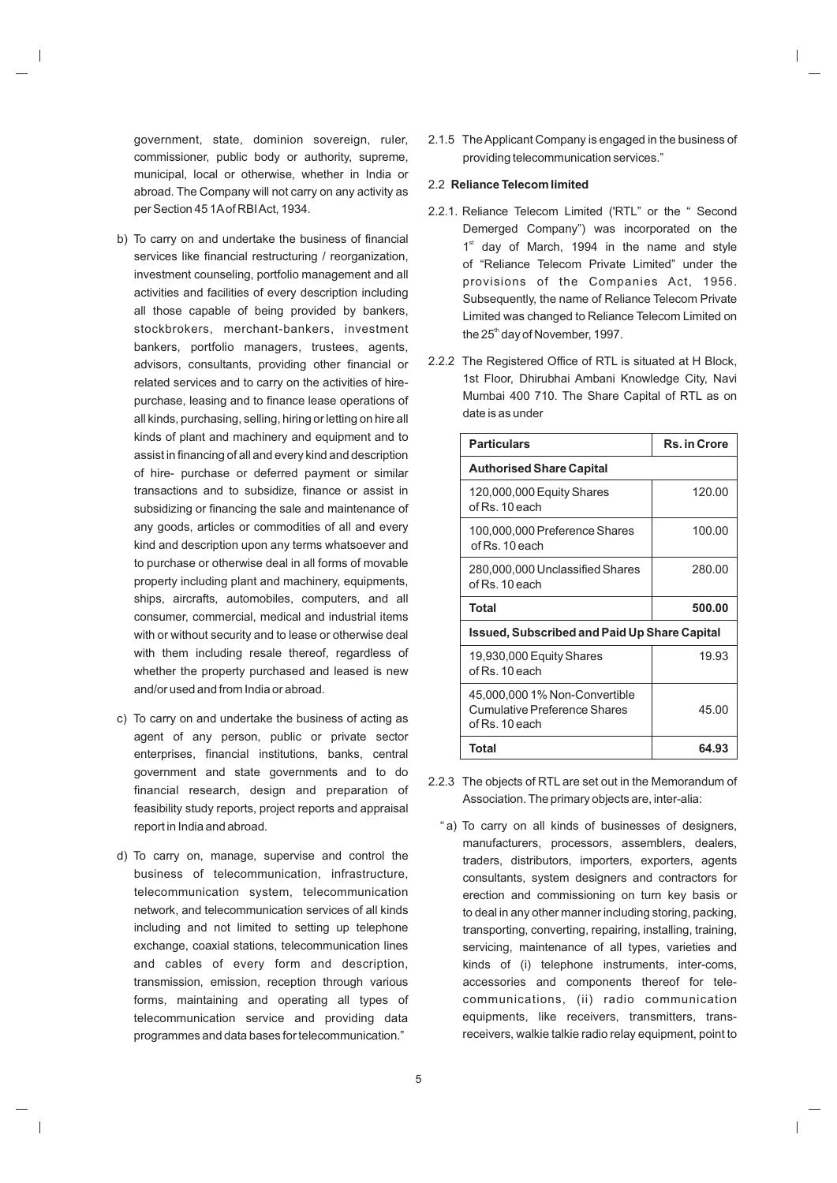government, state, dominion sovereign, ruler, commissioner, public body or authority, supreme, municipal, local or otherwise, whether in India or abroad. The Company will not carry on any activity as per Section 45 1Aof RBI Act, 1934.

- b) To carry on and undertake the business of financial services like financial restructuring / reorganization, investment counseling, portfolio management and all activities and facilities of every description including all those capable of being provided by bankers, stockbrokers, merchant-bankers, investment bankers, portfolio managers, trustees, agents, advisors, consultants, providing other financial or related services and to carry on the activities of hirepurchase, leasing and to finance lease operations of all kinds, purchasing, selling, hiring or letting on hire all kinds of plant and machinery and equipment and to assist in financing of all and every kind and description of hire- purchase or deferred payment or similar transactions and to subsidize, finance or assist in subsidizing or financing the sale and maintenance of any goods, articles or commodities of all and every kind and description upon any terms whatsoever and to purchase or otherwise deal in all forms of movable property including plant and machinery, equipments, ships, aircrafts, automobiles, computers, and all consumer, commercial, medical and industrial items with or without security and to lease or otherwise deal with them including resale thereof, regardless of whether the property purchased and leased is new and/or used and from India or abroad.
- c) To carry on and undertake the business of acting as agent of any person, public or private sector enterprises, financial institutions, banks, central government and state governments and to do financial research, design and preparation of feasibility study reports, project reports and appraisal report in India and abroad.
- d) To carry on, manage, supervise and control the business of telecommunication, infrastructure, telecommunication system, telecommunication network, and telecommunication services of all kinds including and not limited to setting up telephone exchange, coaxial stations, telecommunication lines and cables of every form and description, transmission, emission, reception through various forms, maintaining and operating all types of telecommunication service and providing data programmes and data bases for telecommunication."

2.1.5 The Applicant Company is engaged in the business of providing telecommunication services."

#### 2.2 **Reliance Telecom limited**

- 2.2.1. Reliance Telecom Limited ('RTL" or the " Second Demerged Company") was incorporated on the  $1<sup>st</sup>$  day of March, 1994 in the name and style of "Reliance Telecom Private Limited" under the provisions of the Companies Act, 1956. Subsequently, the name of Reliance Telecom Private Limited was changed to Reliance Telecom Limited on the  $25<sup>th</sup>$  day of November, 1997.
- 2.2.2 The Registered Office of RTL is situated at H Block, 1st Floor, Dhirubhai Ambani Knowledge City, Navi Mumbai 400 710. The Share Capital of RTL as on date is as under

| <b>Particulars</b>                                                              | <b>Rs. in Crore</b> |  |  |
|---------------------------------------------------------------------------------|---------------------|--|--|
| <b>Authorised Share Capital</b>                                                 |                     |  |  |
| 120,000,000 Equity Shares<br>of Rs. 10 each                                     | 120.00              |  |  |
| 100,000,000 Preference Shares<br>of Rs. 10 each                                 | 100.00              |  |  |
| 280,000,000 Unclassified Shares<br>of Rs. 10 each                               | 280.00              |  |  |
| <b>Total</b>                                                                    | 500.00              |  |  |
| Issued, Subscribed and Paid Up Share Capital                                    |                     |  |  |
| 19,930,000 Equity Shares<br>of Rs. 10 each                                      | 19.93               |  |  |
| 45,000,000 1% Non-Convertible<br>Cumulative Preference Shares<br>of Rs. 10 each | 45.00               |  |  |
| <b>Total</b>                                                                    | 64.93               |  |  |

- 2.2.3 The objects of RTL are set out in the Memorandum of Association. The primary objects are, inter-alia:
	- " a) To carry on all kinds of businesses of designers, manufacturers, processors, assemblers, dealers, traders, distributors, importers, exporters, agents consultants, system designers and contractors for erection and commissioning on turn key basis or to deal in any other manner including storing, packing, transporting, converting, repairing, installing, training, servicing, maintenance of all types, varieties and kinds of (i) telephone instruments, inter-coms, accessories and components thereof for telecommunications, (ii) radio communication equipments, like receivers, transmitters, transreceivers, walkie talkie radio relay equipment, point to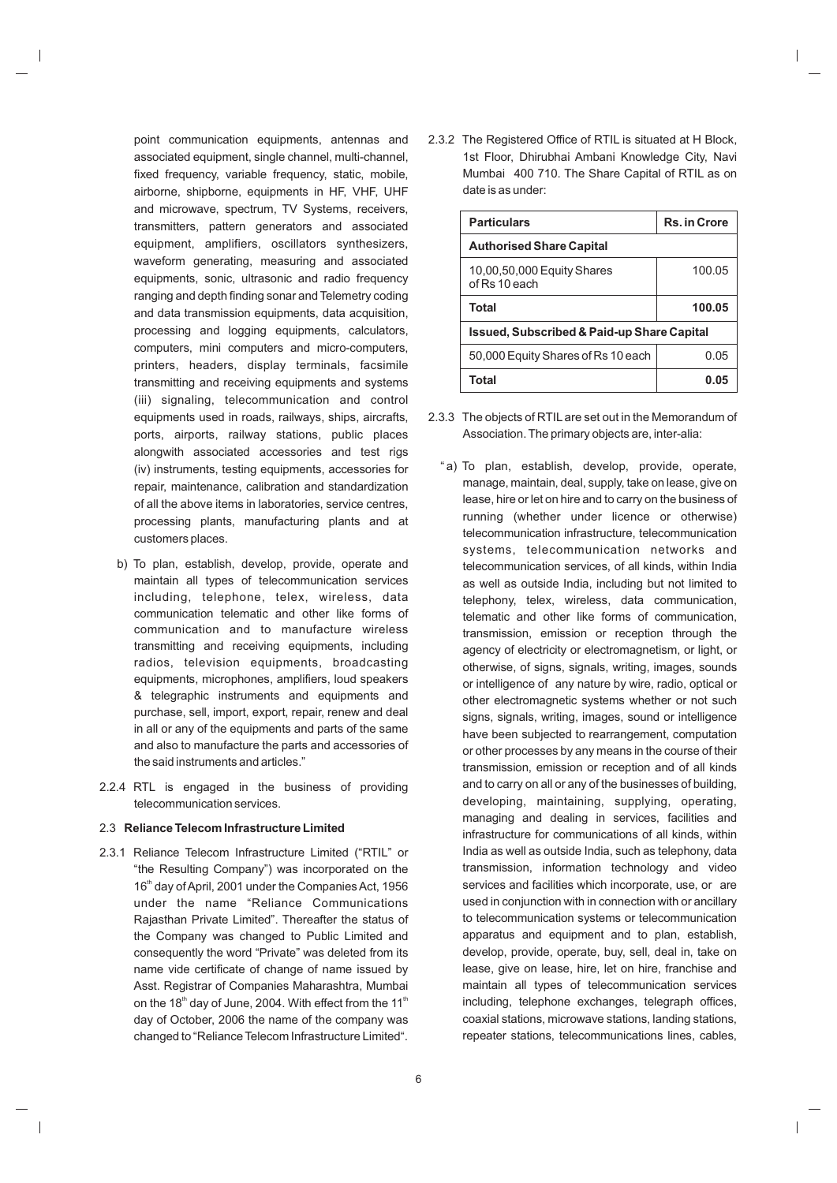point communication equipments, antennas and associated equipment, single channel, multi-channel, fixed frequency, variable frequency, static, mobile, airborne, shipborne, equipments in HF, VHF, UHF and microwave, spectrum, TV Systems, receivers, transmitters, pattern generators and associated equipment, amplifiers, oscillators synthesizers, waveform generating, measuring and associated equipments, sonic, ultrasonic and radio frequency ranging and depth finding sonar and Telemetry coding and data transmission equipments, data acquisition, processing and logging equipments, calculators, computers, mini computers and micro-computers, printers, headers, display terminals, facsimile transmitting and receiving equipments and systems (iii) signaling, telecommunication and control equipments used in roads, railways, ships, aircrafts, ports, airports, railway stations, public places alongwith associated accessories and test rigs (iv) instruments, testing equipments, accessories for repair, maintenance, calibration and standardization of all the above items in laboratories, service centres, processing plants, manufacturing plants and at customers places.

- b) To plan, establish, develop, provide, operate and maintain all types of telecommunication services including, telephone, telex, wireless, data communication telematic and other like forms of communication and to manufacture wireless transmitting and receiving equipments, including radios, television equipments, broadcasting equipments, microphones, amplifiers, loud speakers & telegraphic instruments and equipments and purchase, sell, import, export, repair, renew and deal in all or any of the equipments and parts of the same and also to manufacture the parts and accessories of the said instruments and articles."
- 2.2.4 RTL is engaged in the business of providing telecommunication services.

#### 2.3 **Reliance Telecom Infrastructure Limited**

2.3.1 Reliance Telecom Infrastructure Limited ("RTIL" or "the Resulting Company") was incorporated on the 16<sup>th</sup> day of April, 2001 under the Companies Act, 1956 under the name "Reliance Communications Rajasthan Private Limited". Thereafter the status of the Company was changed to Public Limited and consequently the word "Private" was deleted from its name vide certificate of change of name issued by Asst. Registrar of Companies Maharashtra, Mumbai on the 18 $^{\text{th}}$  day of June, 2004. With effect from the 11 $^{\text{th}}$ day of October, 2006 the name of the company was changed to "Reliance Telecom Infrastructure Limited".

2.3.2 The Registered Office of RTIL is situated at H Block, 1st Floor, Dhirubhai Ambani Knowledge City, Navi Mumbai 400 710. The Share Capital of RTIL as on date is as under:

| <b>Particulars</b>                                    | Rs. in Crore |  |  |  |
|-------------------------------------------------------|--------------|--|--|--|
| <b>Authorised Share Capital</b>                       |              |  |  |  |
| 10,00,50,000 Equity Shares<br>of Rs 10 each           | 100.05       |  |  |  |
| Total                                                 | 100.05       |  |  |  |
| <b>Issued, Subscribed &amp; Paid-up Share Capital</b> |              |  |  |  |
| 50,000 Equity Shares of Rs 10 each                    | 0.05         |  |  |  |
| Total                                                 | 0.05         |  |  |  |

- 2.3.3 The objects of RTIL are set out in the Memorandum of Association. The primary objects are, inter-alia:
	- " a) To plan, establish, develop, provide, operate, manage, maintain, deal, supply, take on lease, give on lease, hire or let on hire and to carry on the business of running (whether under licence or otherwise) telecommunication infrastructure, telecommunication systems, telecommunication networks and telecommunication services, of all kinds, within India as well as outside India, including but not limited to telephony, telex, wireless, data communication, telematic and other like forms of communication, transmission, emission or reception through the agency of electricity or electromagnetism, or light, or otherwise, of signs, signals, writing, images, sounds or intelligence of any nature by wire, radio, optical or other electromagnetic systems whether or not such signs, signals, writing, images, sound or intelligence have been subjected to rearrangement, computation or other processes by any means in the course of their transmission, emission or reception and of all kinds and to carry on all or any of the businesses of building, developing, maintaining, supplying, operating, managing and dealing in services, facilities and infrastructure for communications of all kinds, within India as well as outside India, such as telephony, data transmission, information technology and video services and facilities which incorporate, use, or are used in conjunction with in connection with or ancillary to telecommunication systems or telecommunication apparatus and equipment and to plan, establish, develop, provide, operate, buy, sell, deal in, take on lease, give on lease, hire, let on hire, franchise and maintain all types of telecommunication services including, telephone exchanges, telegraph offices, coaxial stations, microwave stations, landing stations, repeater stations, telecommunications lines, cables,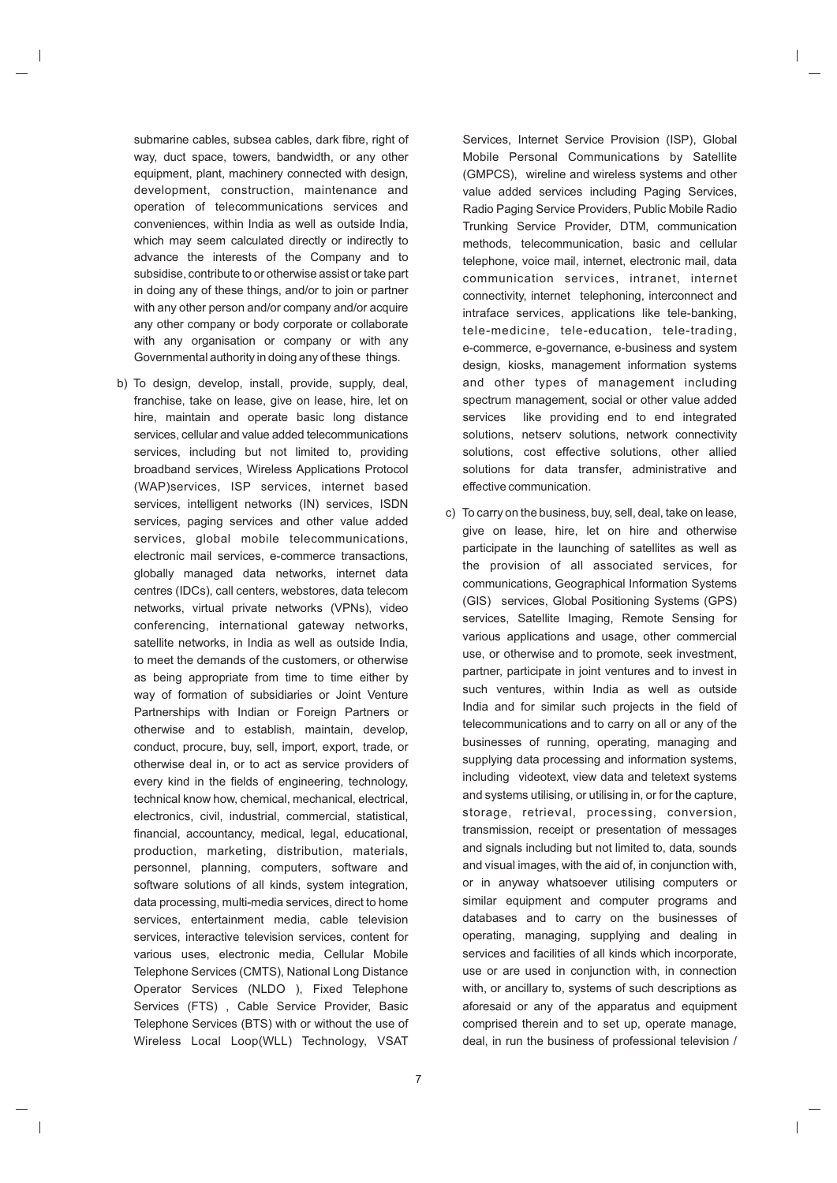submarine cables, subsea cables, dark fibre, right of way, duct space, towers, bandwidth, or any other equipment, plant, machinery connected with design, development, construction, maintenance and operation of telecommunications services and conveniences, within India as well as outside India, which may seem calculated directly or indirectly to advance the interests of the Company and to subsidise, contribute to or otherwise assist or take part in doing any of these things, and/or to join or partner with any other person and/or company and/or acquire any other company or body corporate or collaborate with any organisation or company or with any Governmental authority in doing any of these things.

 b) To design, develop, install, provide, supply, deal, franchise, take on lease, give on lease, hire, let on hire, maintain and operate basic long distance services, cellular and value added telecommunications services, including but not limited to, providing broadband services, Wireless Applications Protocol (WAP)services, ISP services, internet based services, intelligent networks (IN) services, ISDN services, paging services and other value added services, global mobile telecommunications, electronic mail services, e-commerce transactions, globally managed data networks, internet data centres (IDCs), call centers, webstores, data telecom networks, virtual private networks (VPNs), video conferencing, international gateway networks, satellite networks, in India as well as outside India, to meet the demands of the customers, or otherwise as being appropriate from time to time either by way of formation of subsidiaries or Joint Venture Partnerships with Indian or Foreign Partners or otherwise and to establish, maintain, develop, conduct, procure, buy, sell, import, export, trade, or otherwise deal in, or to act as service providers of every kind in the fields of engineering, technology, technical know how, chemical, mechanical, electrical, electronics, civil, industrial, commercial, statistical, financial, accountancy, medical, legal, educational, production, marketing, distribution, materials, personnel, planning, computers, software and software solutions of all kinds, system integration, data processing, multi-media services, direct to home services, entertainment media, cable television services, interactive television services, content for various uses, electronic media, Cellular Mobile Telephone Services (CMTS), National Long Distance Operator Services (NLDO ), Fixed Telephone Services (FTS) , Cable Service Provider, Basic Telephone Services (BTS) with or without the use of Wireless Local Loop(WLL) Technology, VSAT Services, Internet Service Provision (ISP), Global Mobile Personal Communications by Satellite (GMPCS), wireline and wireless systems and other value added services including Paging Services, Radio Paging Service Providers, Public Mobile Radio Trunking Service Provider, DTM, communication methods, telecommunication, basic and cellular telephone, voice mail, internet, electronic mail, data communication services, intranet, internet connectivity, internet telephoning, interconnect and intraface services, applications like tele-banking, tele-medicine, tele-education, tele-trading, e-commerce, e-governance, e-business and system design, kiosks, management information systems and other types of management including spectrum management, social or other value added services like providing end to end integrated solutions, netserv solutions, network connectivity solutions, cost effective solutions, other allied solutions for data transfer, administrative and effective communication.

 $\overline{\phantom{a}}$ 

 $\overline{\phantom{a}}$ 

 c) To carry on the business, buy, sell, deal, take on lease, give on lease, hire, let on hire and otherwise participate in the launching of satellites as well as the provision of all associated services, for communications, Geographical Information Systems (GIS) services, Global Positioning Systems (GPS) services, Satellite Imaging, Remote Sensing for various applications and usage, other commercial use, or otherwise and to promote, seek investment, partner, participate in joint ventures and to invest in such ventures, within India as well as outside India and for similar such projects in the field of telecommunications and to carry on all or any of the businesses of running, operating, managing and supplying data processing and information systems, including videotext, view data and teletext systems and systems utilising, or utilising in, or for the capture, storage, retrieval, processing, conversion, transmission, receipt or presentation of messages and signals including but not limited to, data, sounds and visual images, with the aid of, in conjunction with, or in anyway whatsoever utilising computers or similar equipment and computer programs and databases and to carry on the businesses of operating, managing, supplying and dealing in services and facilities of all kinds which incorporate, use or are used in conjunction with, in connection with, or ancillary to, systems of such descriptions as aforesaid or any of the apparatus and equipment comprised therein and to set up, operate manage, deal, in run the business of professional television /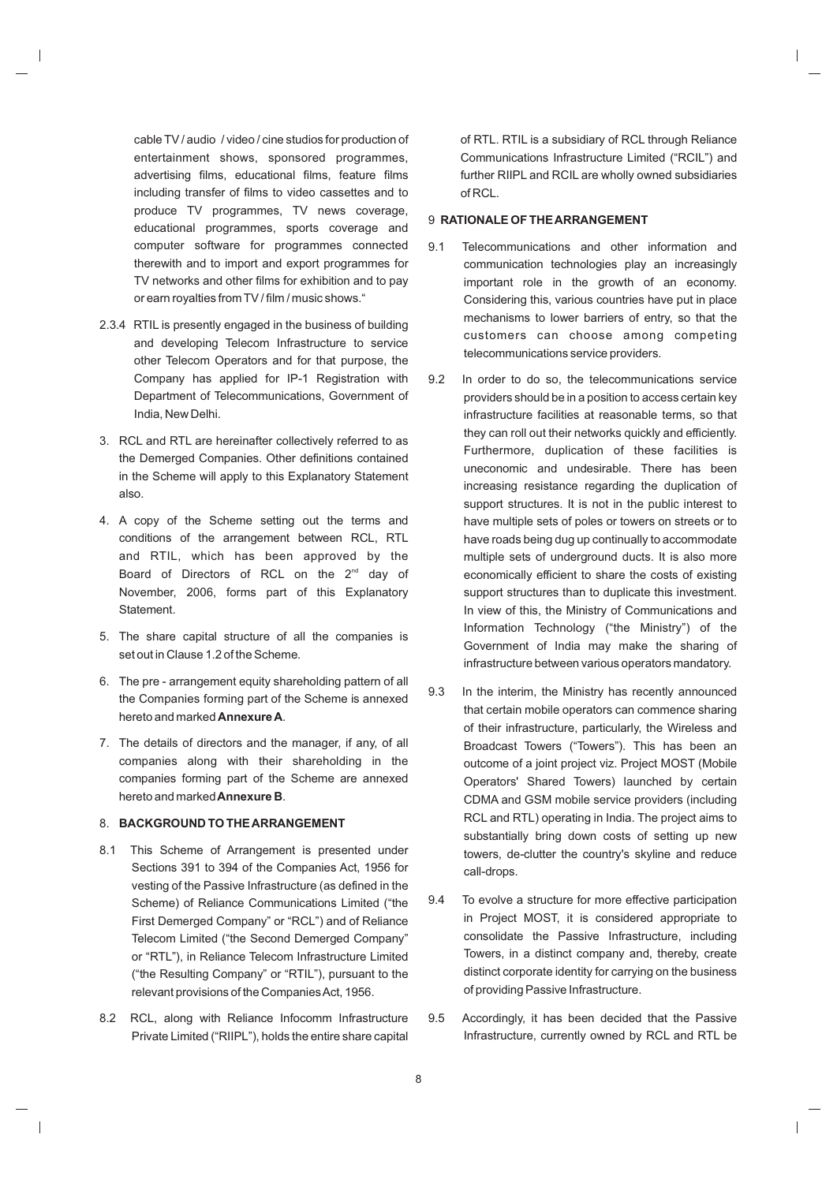cable TV / audio / video / cine studios for production of entertainment shows, sponsored programmes, advertising films, educational films, feature films including transfer of films to video cassettes and to produce TV programmes, TV news coverage, educational programmes, sports coverage and computer software for programmes connected therewith and to import and export programmes for TV networks and other films for exhibition and to pay or earn royalties from TV / film / music shows."

- 2.3.4 RTIL is presently engaged in the business of building and developing Telecom Infrastructure to service other Telecom Operators and for that purpose, the Company has applied for IP-1 Registration with Department of Telecommunications, Government of India, New Delhi.
- 3. RCL and RTL are hereinafter collectively referred to as the Demerged Companies. Other definitions contained in the Scheme will apply to this Explanatory Statement also.
- 4. A copy of the Scheme setting out the terms and conditions of the arrangement between RCL, RTL and RTIL, which has been approved by the Board of Directors of RCL on the 2<sup>nd</sup> day of November, 2006, forms part of this Explanatory Statement.
- 5. The share capital structure of all the companies is set out in Clause 1.2 of the Scheme.
- 6. The pre arrangement equity shareholding pattern of all the Companies forming part of the Scheme is annexed hereto and marked **Annexure A**.
- 7. The details of directors and the manager, if any, of all companies along with their shareholding in the companies forming part of the Scheme are annexed hereto and marked**Annexure B**.

#### 8. **BACKGROUND TO THE ARRANGEMENT**

- 8.1 This Scheme of Arrangement is presented under Sections 391 to 394 of the Companies Act, 1956 for vesting of the Passive Infrastructure (as defined in the Scheme) of Reliance Communications Limited ("the First Demerged Company" or "RCL") and of Reliance Telecom Limited ("the Second Demerged Company" or "RTL"), in Reliance Telecom Infrastructure Limited ("the Resulting Company" or "RTIL"), pursuant to the relevant provisions of the Companies Act, 1956.
- 8.2 RCL, along with Reliance Infocomm Infrastructure Private Limited ("RIIPL"), holds the entire share capital

of RTL. RTIL is a subsidiary of RCL through Reliance Communications Infrastructure Limited ("RCIL") and further RIIPL and RCIL are wholly owned subsidiaries of RCL.

#### 9 **RATIONALE OF THE ARRANGEMENT**

- 9.1 Telecommunications and other information and communication technologies play an increasingly important role in the growth of an economy. Considering this, various countries have put in place mechanisms to lower barriers of entry, so that the customers can choose among competing telecommunications service providers.
- 9.2 In order to do so, the telecommunications service providers should be in a position to access certain key infrastructure facilities at reasonable terms, so that they can roll out their networks quickly and efficiently. Furthermore, duplication of these facilities is uneconomic and undesirable. There has been increasing resistance regarding the duplication of support structures. It is not in the public interest to have multiple sets of poles or towers on streets or to have roads being dug up continually to accommodate multiple sets of underground ducts. It is also more economically efficient to share the costs of existing support structures than to duplicate this investment. In view of this, the Ministry of Communications and Information Technology ("the Ministry") of the Government of India may make the sharing of infrastructure between various operators mandatory.
- 9.3 In the interim, the Ministry has recently announced that certain mobile operators can commence sharing of their infrastructure, particularly, the Wireless and Broadcast Towers ("Towers"). This has been an outcome of a joint project viz. Project MOST (Mobile Operators' Shared Towers) launched by certain CDMA and GSM mobile service providers (including RCL and RTL) operating in India. The project aims to substantially bring down costs of setting up new towers, de-clutter the country's skyline and reduce call-drops.
- 9.4 To evolve a structure for more effective participation in Project MOST, it is considered appropriate to consolidate the Passive Infrastructure, including Towers, in a distinct company and, thereby, create distinct corporate identity for carrying on the business of providing Passive Infrastructure.
- 9.5 Accordingly, it has been decided that the Passive Infrastructure, currently owned by RCL and RTL be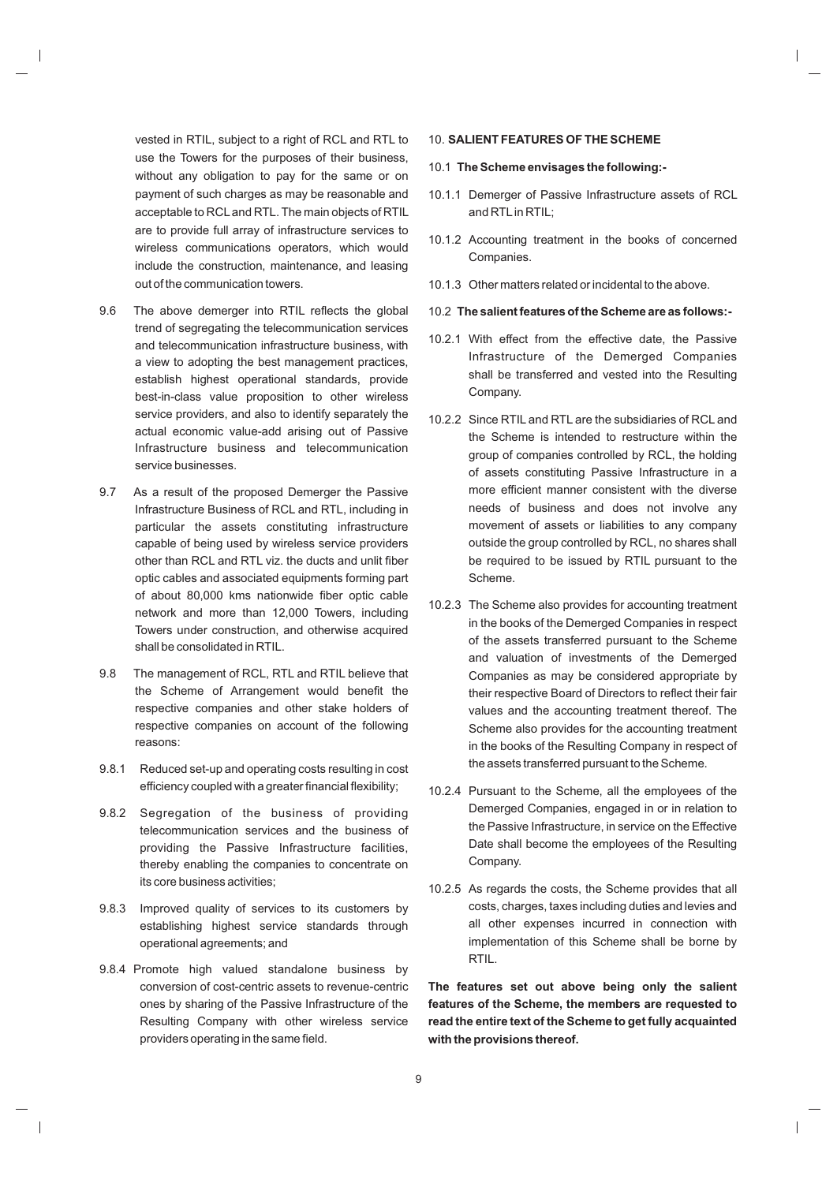vested in RTIL, subject to a right of RCL and RTL to use the Towers for the purposes of their business, without any obligation to pay for the same or on payment of such charges as may be reasonable and acceptable to RCLand RTL. The main objects of RTIL are to provide full array of infrastructure services to wireless communications operators, which would include the construction, maintenance, and leasing out of the communication towers.

- 9.6 The above demerger into RTIL reflects the global trend of segregating the telecommunication services and telecommunication infrastructure business, with a view to adopting the best management practices, establish highest operational standards, provide best-in-class value proposition to other wireless service providers, and also to identify separately the actual economic value-add arising out of Passive Infrastructure business and telecommunication service businesses.
- 9.7 As a result of the proposed Demerger the Passive Infrastructure Business of RCL and RTL, including in particular the assets constituting infrastructure capable of being used by wireless service providers other than RCL and RTL viz. the ducts and unlit fiber optic cables and associated equipments forming part of about 80,000 kms nationwide fiber optic cable network and more than 12,000 Towers, including Towers under construction, and otherwise acquired shall be consolidated in RTIL.
- 9.8 The management of RCL, RTL and RTIL believe that the Scheme of Arrangement would benefit the respective companies and other stake holders of respective companies on account of the following reasons:
- 9.8.1 Reduced set-up and operating costs resulting in cost efficiency coupled with a greater financial flexibility;
- 9.8.2 Segregation of the business of providing telecommunication services and the business of providing the Passive Infrastructure facilities, thereby enabling the companies to concentrate on its core business activities;
- 9.8.3 Improved quality of services to its customers by establishing highest service standards through operational agreements; and
- 9.8.4 Promote high valued standalone business by conversion of cost-centric assets to revenue-centric ones by sharing of the Passive Infrastructure of the Resulting Company with other wireless service providers operating in the same field.

### 10. **SALIENT FEATURES OF THE SCHEME**

### 10.1 **The Scheme envisages the following:-**

- 10.1.1 Demerger of Passive Infrastructure assets of RCL and RTLin RTIL;
- 10.1.2 Accounting treatment in the books of concerned Companies.
- 10.1.3 Other matters related or incidental to the above.

#### 10.2 **The salient features of the Scheme are as follows:-**

- 10.2.1 With effect from the effective date, the Passive Infrastructure of the Demerged Companies shall be transferred and vested into the Resulting Company.
- 10.2.2 Since RTIL and RTL are the subsidiaries of RCL and the Scheme is intended to restructure within the group of companies controlled by RCL, the holding of assets constituting Passive Infrastructure in a more efficient manner consistent with the diverse needs of business and does not involve any movement of assets or liabilities to any company outside the group controlled by RCL, no shares shall be required to be issued by RTIL pursuant to the Scheme.
- 10.2.3 The Scheme also provides for accounting treatment in the books of the Demerged Companies in respect of the assets transferred pursuant to the Scheme and valuation of investments of the Demerged Companies as may be considered appropriate by their respective Board of Directors to reflect their fair values and the accounting treatment thereof. The Scheme also provides for the accounting treatment in the books of the Resulting Company in respect of the assets transferred pursuant to the Scheme.
- 10.2.4 Pursuant to the Scheme, all the employees of the Demerged Companies, engaged in or in relation to the Passive Infrastructure, in service on the Effective Date shall become the employees of the Resulting Company.
- 10.2.5 As regards the costs, the Scheme provides that all costs, charges, taxes including duties and levies and all other expenses incurred in connection with implementation of this Scheme shall be borne by RTIL.

**The features set out above being only the salient features of the Scheme, the members are requested to read the entire text of the Scheme to get fully acquainted with the provisions thereof.**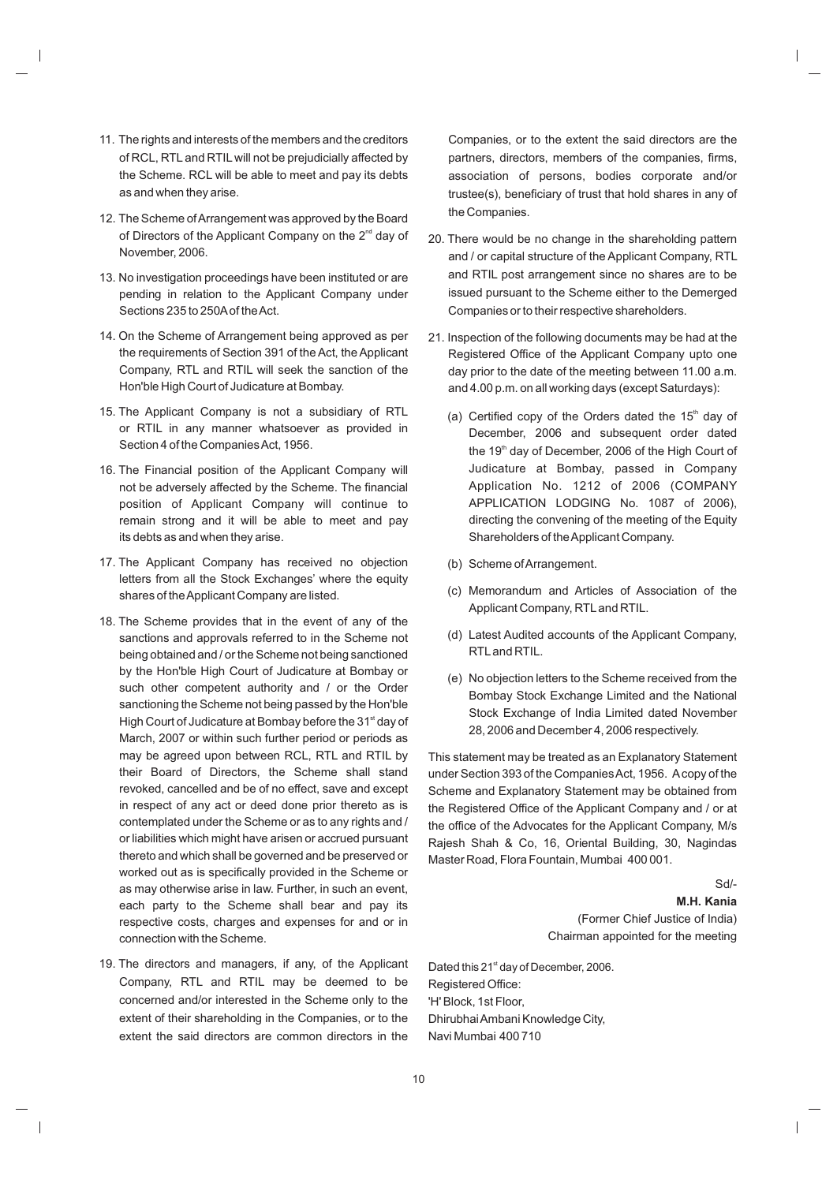- 11. The rights and interests of the members and the creditors of RCL, RTL and RTIL will not be prejudicially affected by the Scheme. RCL will be able to meet and pay its debts as and when they arise.
- 12. The Scheme of Arrangement was approved by the Board of Directors of the Applicant Company on the  $2^{nd}$  day of November, 2006.
- 13. No investigation proceedings have been instituted or are pending in relation to the Applicant Company under Sections 235 to 250Aof the Act.
- 14. On the Scheme of Arrangement being approved as per the requirements of Section 391 of the Act, the Applicant Company, RTL and RTIL will seek the sanction of the Hon'ble High Court of Judicature at Bombay.
- 15. The Applicant Company is not a subsidiary of RTL or RTIL in any manner whatsoever as provided in Section 4 of the Companies Act, 1956.
- 16. The Financial position of the Applicant Company will not be adversely affected by the Scheme. The financial position of Applicant Company will continue to remain strong and it will be able to meet and pay its debts as and when they arise.
- 17. The Applicant Company has received no objection letters from all the Stock Exchanges' where the equity shares of the Applicant Company are listed.
- 18. The Scheme provides that in the event of any of the sanctions and approvals referred to in the Scheme not being obtained and / or the Scheme not being sanctioned by the Hon'ble High Court of Judicature at Bombay or such other competent authority and / or the Order sanctioning the Scheme not being passed by the Hon'ble High Court of Judicature at Bombay before the 31<sup><sup>st</sup> day of</sup> March, 2007 or within such further period or periods as may be agreed upon between RCL, RTL and RTIL by their Board of Directors, the Scheme shall stand revoked, cancelled and be of no effect, save and except in respect of any act or deed done prior thereto as is contemplated under the Scheme or as to any rights and / or liabilities which might have arisen or accrued pursuant thereto and which shall be governed and be preserved or worked out as is specifically provided in the Scheme or as may otherwise arise in law. Further, in such an event, each party to the Scheme shall bear and pay its respective costs, charges and expenses for and or in connection with the Scheme.
- 19. The directors and managers, if any, of the Applicant Company, RTL and RTIL may be deemed to be concerned and/or interested in the Scheme only to the extent of their shareholding in the Companies, or to the extent the said directors are common directors in the

Companies, or to the extent the said directors are the partners, directors, members of the companies, firms, association of persons, bodies corporate and/or trustee(s), beneficiary of trust that hold shares in any of the Companies.

- 20. There would be no change in the shareholding pattern and / or capital structure of the Applicant Company, RTL and RTIL post arrangement since no shares are to be issued pursuant to the Scheme either to the Demerged Companies or to their respective shareholders.
- 21. Inspection of the following documents may be had at the Registered Office of the Applicant Company upto one day prior to the date of the meeting between 11.00 a.m. and 4.00 p.m. on all working days (except Saturdays):
	- (a) Certified copy of the Orders dated the  $15<sup>th</sup>$  day of December, 2006 and subsequent order dated the 19<sup>th</sup> day of December, 2006 of the High Court of Judicature at Bombay, passed in Company Application No. 1212 of 2006 (COMPANY APPLICATION LODGING No. 1087 of 2006), directing the convening of the meeting of the Equity Shareholders of the Applicant Company.
	- (b) Scheme of Arrangement.
	- (c) Memorandum and Articles of Association of the Applicant Company, RTLand RTIL.
	- (d) Latest Audited accounts of the Applicant Company, RTLand RTIL.
	- (e) No objection letters to the Scheme received from the Bombay Stock Exchange Limited and the National Stock Exchange of India Limited dated November 28, 2006 and December 4, 2006 respectively.

This statement may be treated as an Explanatory Statement under Section 393 of the Companies Act, 1956. Acopy of the Scheme and Explanatory Statement may be obtained from the Registered Office of the Applicant Company and / or at the office of the Advocates for the Applicant Company, M/s Rajesh Shah & Co, 16, Oriental Building, 30, Nagindas Master Road, Flora Fountain, Mumbai 400 001.

Sd/-

**M.H. Kania** (Former Chief Justice of India) Chairman appointed for the meeting

Dated this 21<sup>st</sup> day of December, 2006. Registered Office: 'H' Block, 1st Floor, Dhirubhai Ambani Knowledge City, Navi Mumbai 400 710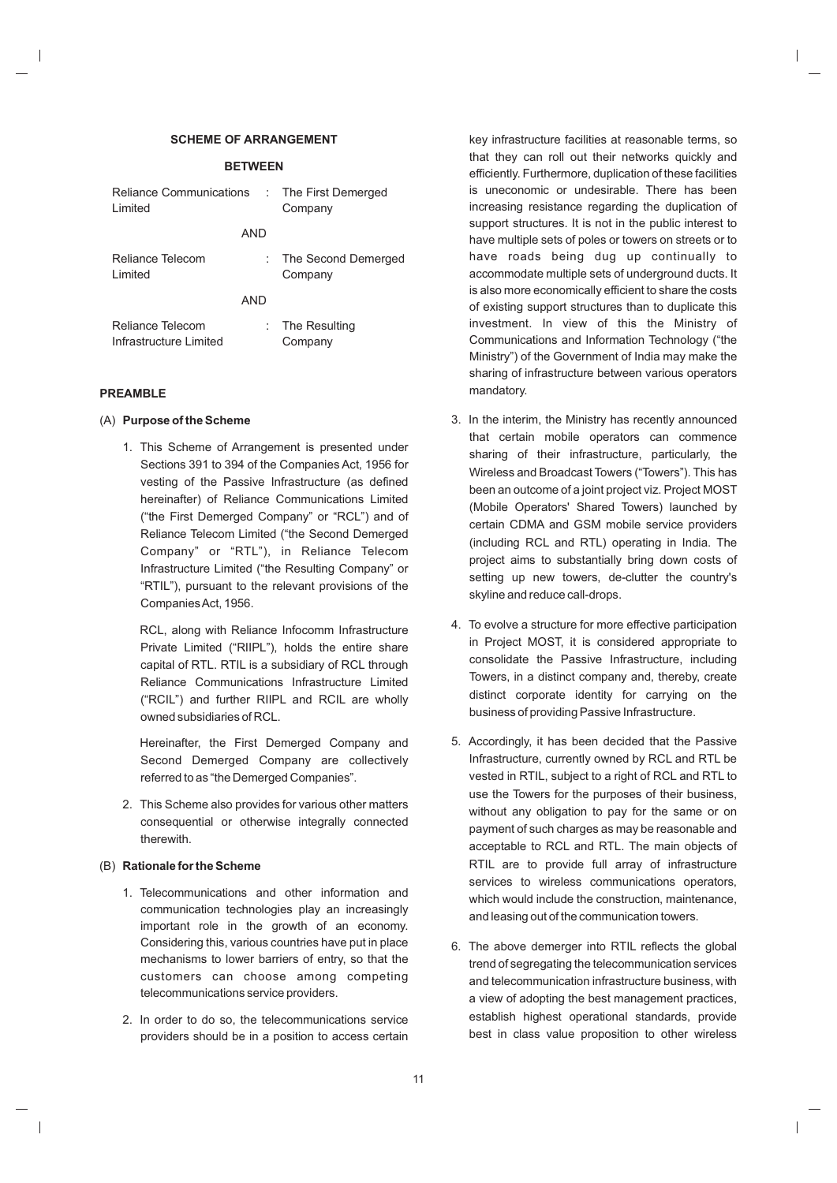### **SCHEME OF ARRANGEMENT**

### **BETWEEN**

| Reliance Communications : The First Demerged<br>Limited | Company                        |
|---------------------------------------------------------|--------------------------------|
| AND                                                     |                                |
| Reliance Telecom<br>Limited                             | The Second Demerged<br>Company |
| AND                                                     |                                |
| Reliance Telecom<br>Infrastructure Limited              | The Resulting<br>Company       |

### **PREAMBLE**

#### (A) **Purpose of the Scheme**

1. This Scheme of Arrangement is presented under Sections 391 to 394 of the Companies Act, 1956 for vesting of the Passive Infrastructure (as defined hereinafter) of Reliance Communications Limited ("the First Demerged Company" or "RCL") and of Reliance Telecom Limited ("the Second Demerged Company" or "RTL"), in Reliance Telecom Infrastructure Limited ("the Resulting Company" or "RTIL"), pursuant to the relevant provisions of the Companies Act, 1956.

RCL, along with Reliance Infocomm Infrastructure Private Limited ("RIIPL"), holds the entire share capital of RTL. RTIL is a subsidiary of RCL through Reliance Communications Infrastructure Limited ("RCIL") and further RIIPL and RCIL are wholly owned subsidiaries of RCL.

Hereinafter, the First Demerged Company and Second Demerged Company are collectively referred to as "the Demerged Companies".

2. This Scheme also provides for various other matters consequential or otherwise integrally connected therewith.

### (B) **Rationale for the Scheme**

- 1. Telecommunications and other information and communication technologies play an increasingly important role in the growth of an economy. Considering this, various countries have put in place mechanisms to lower barriers of entry, so that the customers can choose among competing telecommunications service providers.
- 2. In order to do so, the telecommunications service providers should be in a position to access certain

key infrastructure facilities at reasonable terms, so that they can roll out their networks quickly and efficiently. Furthermore, duplication of these facilities is uneconomic or undesirable. There has been increasing resistance regarding the duplication of support structures. It is not in the public interest to have multiple sets of poles or towers on streets or to have roads being dug up continually to accommodate multiple sets of underground ducts. It is also more economically efficient to share the costs of existing support structures than to duplicate this investment. In view of this the Ministry of Communications and Information Technology ("the Ministry") of the Government of India may make the sharing of infrastructure between various operators mandatory.

- 3. In the interim, the Ministry has recently announced that certain mobile operators can commence sharing of their infrastructure, particularly, the Wireless and Broadcast Towers ("Towers"). This has been an outcome of a joint project viz. Project MOST (Mobile Operators' Shared Towers) launched by certain CDMA and GSM mobile service providers (including RCL and RTL) operating in India. The project aims to substantially bring down costs of setting up new towers, de-clutter the country's skyline and reduce call-drops.
- 4. To evolve a structure for more effective participation in Project MOST, it is considered appropriate to consolidate the Passive Infrastructure, including Towers, in a distinct company and, thereby, create distinct corporate identity for carrying on the business of providing Passive Infrastructure.
- 5. Accordingly, it has been decided that the Passive Infrastructure, currently owned by RCL and RTL be vested in RTIL, subject to a right of RCL and RTL to use the Towers for the purposes of their business, without any obligation to pay for the same or on payment of such charges as may be reasonable and acceptable to RCL and RTL. The main objects of RTIL are to provide full array of infrastructure services to wireless communications operators, which would include the construction, maintenance, and leasing out of the communication towers.
- 6. The above demerger into RTIL reflects the global trend of segregating the telecommunication services and telecommunication infrastructure business, with a view of adopting the best management practices, establish highest operational standards, provide best in class value proposition to other wireless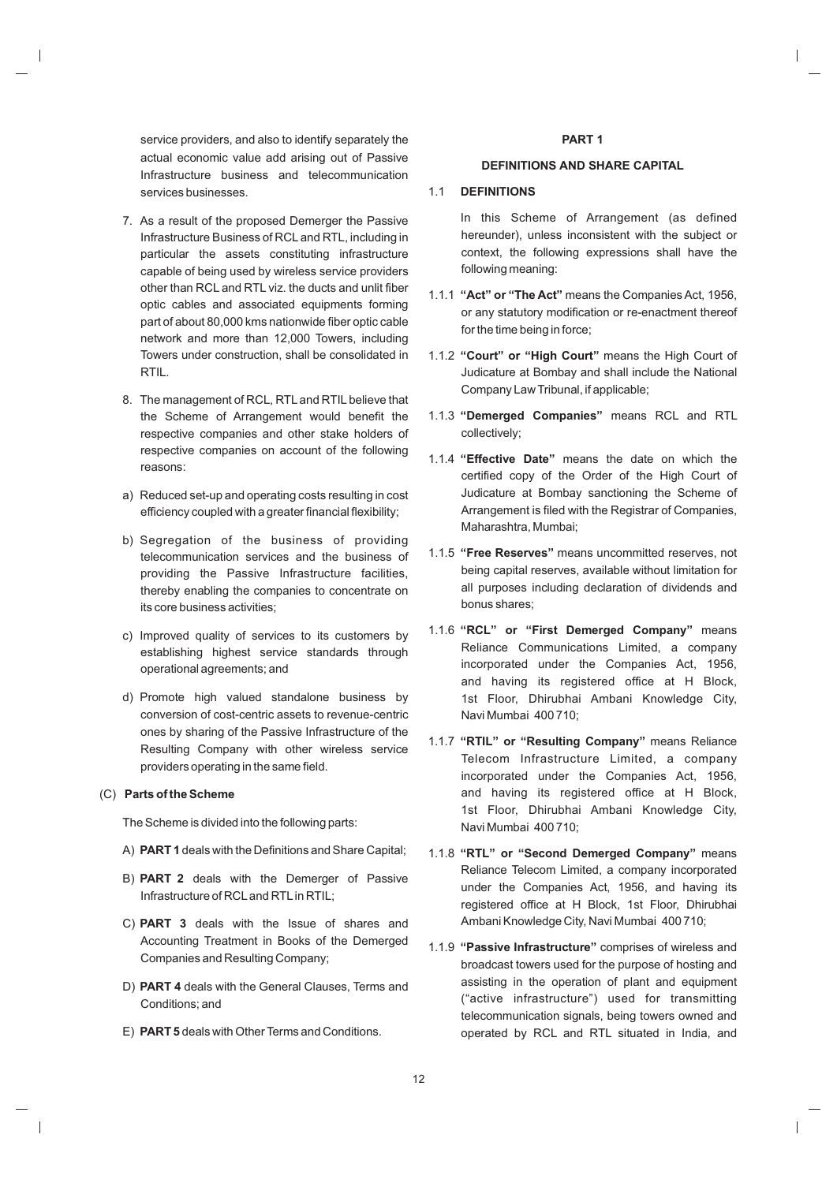service providers, and also to identify separately the actual economic value add arising out of Passive Infrastructure business and telecommunication services businesses.

- 7. As a result of the proposed Demerger the Passive Infrastructure Business of RCL and RTL, including in particular the assets constituting infrastructure capable of being used by wireless service providers other than RCL and RTL viz. the ducts and unlit fiber optic cables and associated equipments forming part of about 80,000 kms nationwide fiber optic cable network and more than 12,000 Towers, including Towers under construction, shall be consolidated in RTIL.
- 8. The management of RCL, RTL and RTIL believe that the Scheme of Arrangement would benefit the respective companies and other stake holders of respective companies on account of the following reasons:
- a) Reduced set-up and operating costs resulting in cost efficiency coupled with a greater financial flexibility;
- b) Segregation of the business of providing telecommunication services and the business of providing the Passive Infrastructure facilities, thereby enabling the companies to concentrate on its core business activities;
- c) Improved quality of services to its customers by establishing highest service standards through operational agreements; and
- d) Promote high valued standalone business by conversion of cost-centric assets to revenue-centric ones by sharing of the Passive Infrastructure of the Resulting Company with other wireless service providers operating in the same field.

### (C) **Parts of the Scheme**

The Scheme is divided into the following parts:

- A) **PART 1** deals with the Definitions and Share Capital;
- B) **PART 2** deals with the Demerger of Passive Infrastructure of RCLand RTLin RTIL;
- C) **PART 3** deals with the Issue of shares and Accounting Treatment in Books of the Demerged Companies and Resulting Company;
- D) **PART 4** deals with the General Clauses, Terms and Conditions; and
- E) **PART 5** deals with Other Terms and Conditions.

### **PART 1**

### **DEFINITIONS AND SHARE CAPITAL**

### 1.1 **DEFINITIONS**

In this Scheme of Arrangement (as defined hereunder), unless inconsistent with the subject or context, the following expressions shall have the following meaning:

- 1.1.1 **"Act" or "The Act"** means the Companies Act, 1956, or any statutory modification or re-enactment thereof for the time being in force;
- 1.1.2 **"Court" or "High Court"** means the High Court of Judicature at Bombay and shall include the National Company Law Tribunal, if applicable;
- 1.1.3 **"Demerged Companies"** means RCL and RTL collectively;
- 1.1.4 **"Effective Date"** means the date on which the certified copy of the Order of the High Court of Judicature at Bombay sanctioning the Scheme of Arrangement is filed with the Registrar of Companies, Maharashtra, Mumbai;
- 1.1.5 **"Free Reserves"** means uncommitted reserves, not being capital reserves, available without limitation for all purposes including declaration of dividends and bonus shares;
- 1.1.6 **"RCL" or "First Demerged Company"** means Reliance Communications Limited, a company incorporated under the Companies Act, 1956, and having its registered office at H Block, 1st Floor, Dhirubhai Ambani Knowledge City, Navi Mumbai 400 710;
- 1.1.7 **"RTIL" or "Resulting Company"** means Reliance Telecom Infrastructure Limited, a company incorporated under the Companies Act, 1956, and having its registered office at H Block, 1st Floor, Dhirubhai Ambani Knowledge City, Navi Mumbai 400 710;
- 1.1.8 **"RTL" or "Second Demerged Company"** means Reliance Telecom Limited, a company incorporated under the Companies Act, 1956, and having its registered office at H Block, 1st Floor, Dhirubhai Ambani Knowledge City, Navi Mumbai 400 710;
- 1.1.9 **"Passive Infrastructure"** comprises of wireless and broadcast towers used for the purpose of hosting and assisting in the operation of plant and equipment ("active infrastructure") used for transmitting telecommunication signals, being towers owned and operated by RCL and RTL situated in India, and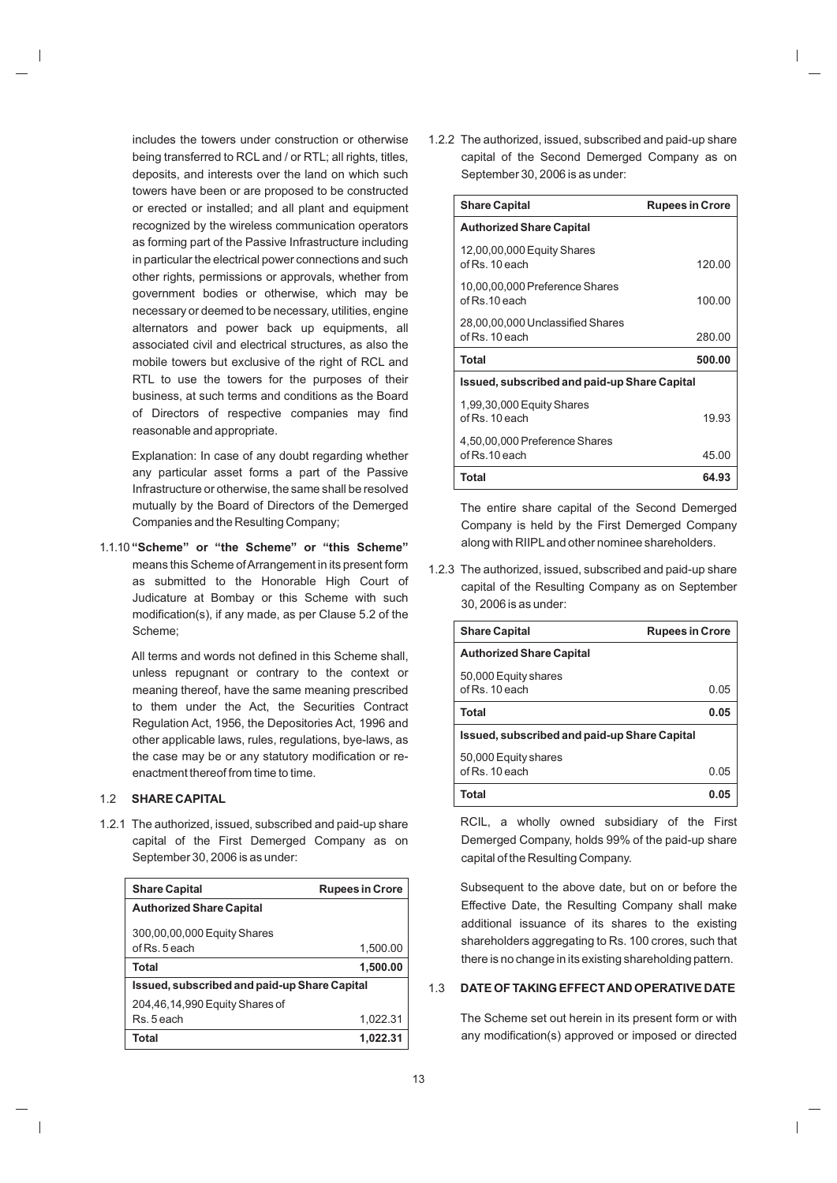includes the towers under construction or otherwise being transferred to RCL and / or RTL; all rights, titles, deposits, and interests over the land on which such towers have been or are proposed to be constructed or erected or installed; and all plant and equipment recognized by the wireless communication operators as forming part of the Passive Infrastructure including in particular the electrical power connections and such other rights, permissions or approvals, whether from government bodies or otherwise, which may be necessary or deemed to be necessary, utilities, engine alternators and power back up equipments, all associated civil and electrical structures, as also the mobile towers but exclusive of the right of RCL and RTL to use the towers for the purposes of their business, at such terms and conditions as the Board of Directors of respective companies may find reasonable and appropriate.

Explanation: In case of any doubt regarding whether any particular asset forms a part of the Passive Infrastructure or otherwise, the same shall be resolved mutually by the Board of Directors of the Demerged Companies and the Resulting Company;

1.1.10 **"Scheme" or "the Scheme" or "this Scheme"** means this Scheme of Arrangement in its present form as submitted to the Honorable High Court of Judicature at Bombay or this Scheme with such modification(s), if any made, as per Clause 5.2 of the Scheme;

> All terms and words not defined in this Scheme shall, unless repugnant or contrary to the context or meaning thereof, have the same meaning prescribed to them under the Act, the Securities Contract Regulation Act, 1956, the Depositories Act, 1996 and other applicable laws, rules, regulations, bye-laws, as the case may be or any statutory modification or reenactment thereof from time to time.

### 1.2 **SHARE CAPITAL**

1.2.1 The authorized, issued, subscribed and paid-up share capital of the First Demerged Company as on September 30, 2006 is as under:

| <b>Share Capital</b>                         | <b>Rupees in Crore</b> |
|----------------------------------------------|------------------------|
| <b>Authorized Share Capital</b>              |                        |
| 300,00,00,000 Equity Shares                  |                        |
| of Rs. 5 each                                | 1,500.00               |
| Total                                        | 1,500.00               |
| Issued, subscribed and paid-up Share Capital |                        |
| 204,46,14,990 Equity Shares of               |                        |
| Rs. 5 each                                   | 1.022.31               |
| Total                                        | 1.022.31               |

1.2.2 The authorized, issued, subscribed and paid-up share capital of the Second Demerged Company as on September 30, 2006 is as under:

| <b>Share Capital</b>                               | <b>Rupees in Crore</b> |  |  |  |
|----------------------------------------------------|------------------------|--|--|--|
| <b>Authorized Share Capital</b>                    |                        |  |  |  |
| 12,00,00,000 Equity Shares<br>of Rs. 10 each       | 120.00                 |  |  |  |
| 10,00,00,000 Preference Shares<br>of Rs. 10 each   | 100.00                 |  |  |  |
| 28,00,00,000 Unclassified Shares<br>of Rs. 10 each | 280.00                 |  |  |  |
| Total                                              | 500.00                 |  |  |  |
| Issued, subscribed and paid-up Share Capital       |                        |  |  |  |
| 1,99,30,000 Equity Shares<br>of Rs. 10 each        | 19.93                  |  |  |  |
| 4,50,00,000 Preference Shares<br>of Rs. 10 each    | 45.00                  |  |  |  |
| Total                                              | 64.93                  |  |  |  |

The entire share capital of the Second Demerged Company is held by the First Demerged Company along with RIIPLand other nominee shareholders.

1.2.3 The authorized, issued, subscribed and paid-up share capital of the Resulting Company as on September 30, 2006 is as under:

| <b>Share Capital</b>                         | <b>Rupees in Crore</b> |
|----------------------------------------------|------------------------|
| <b>Authorized Share Capital</b>              |                        |
| 50,000 Equity shares<br>of Rs. 10 each       | 0.05                   |
| Total                                        | 0.05                   |
| Issued, subscribed and paid-up Share Capital |                        |
| 50,000 Equity shares                         |                        |
| of Rs. 10 each                               | 0.05                   |
| Total                                        | 0.05                   |

RCIL, a wholly owned subsidiary of the First Demerged Company, holds 99% of the paid-up share capital of the Resulting Company.

Subsequent to the above date, but on or before the Effective Date, the Resulting Company shall make additional issuance of its shares to the existing shareholders aggregating to Rs. 100 crores, such that there is no change in its existing shareholding pattern.

### 1.3 **DATE OF TAKING EFFECT AND OPERATIVE DATE**

The Scheme set out herein in its present form or with any modification(s) approved or imposed or directed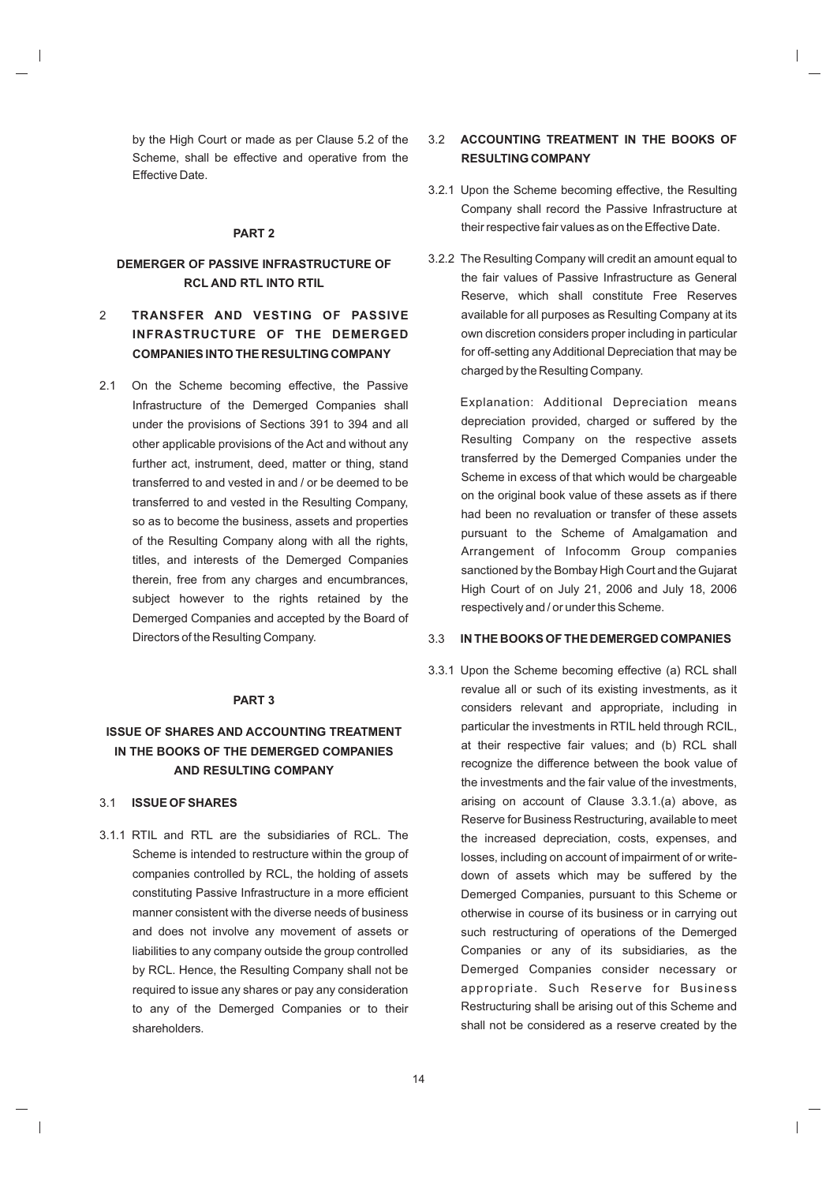by the High Court or made as per Clause 5.2 of the Scheme, shall be effective and operative from the Effective Date.

#### **PART 2**

### **DEMERGER OF PASSIVE INFRASTRUCTURE OF RCL AND RTL INTO RTIL**

### 2 **TRANSFER AND VESTING OF PASSIVE INFRASTRUCTURE OF THE DEMERGED COMPANIES INTO THE RESULTING COMPANY**

2.1 On the Scheme becoming effective, the Passive Infrastructure of the Demerged Companies shall under the provisions of Sections 391 to 394 and all other applicable provisions of the Act and without any further act, instrument, deed, matter or thing, stand transferred to and vested in and / or be deemed to be transferred to and vested in the Resulting Company, so as to become the business, assets and properties of the Resulting Company along with all the rights, titles, and interests of the Demerged Companies therein, free from any charges and encumbrances, subject however to the rights retained by the Demerged Companies and accepted by the Board of Directors of the Resulting Company.

#### **PART 3**

### **ISSUE OF SHARES AND ACCOUNTING TREATMENT IN THE BOOKS OF THE DEMERGED COMPANIES AND RESULTING COMPANY**

### 3.1 **ISSUE OF SHARES**

3.1.1 RTIL and RTL are the subsidiaries of RCL. The Scheme is intended to restructure within the group of companies controlled by RCL, the holding of assets constituting Passive Infrastructure in a more efficient manner consistent with the diverse needs of business and does not involve any movement of assets or liabilities to any company outside the group controlled by RCL. Hence, the Resulting Company shall not be required to issue any shares or pay any consideration to any of the Demerged Companies or to their shareholders.

### 3.2 **ACCOUNTING TREATMENT IN THE BOOKS OF RESULTING COMPANY**

- 3.2.1 Upon the Scheme becoming effective, the Resulting Company shall record the Passive Infrastructure at their respective fair values as on the Effective Date.
- 3.2.2 The Resulting Company will credit an amount equal to the fair values of Passive Infrastructure as General Reserve, which shall constitute Free Reserves available for all purposes as Resulting Company at its own discretion considers proper including in particular for off-setting any Additional Depreciation that may be charged by the Resulting Company.

Explanation: Additional Depreciation means depreciation provided, charged or suffered by the Resulting Company on the respective assets transferred by the Demerged Companies under the Scheme in excess of that which would be chargeable on the original book value of these assets as if there had been no revaluation or transfer of these assets pursuant to the Scheme of Amalgamation and Arrangement of Infocomm Group companies sanctioned by the Bombay High Court and the Gujarat High Court of on July 21, 2006 and July 18, 2006 respectively and / or under this Scheme.

### 3.3 **IN THE BOOKS OF THE DEMERGED COMPANIES**

3.3.1 Upon the Scheme becoming effective (a) RCL shall revalue all or such of its existing investments, as it considers relevant and appropriate, including in particular the investments in RTIL held through RCIL, at their respective fair values; and (b) RCL shall recognize the difference between the book value of the investments and the fair value of the investments, arising on account of Clause 3.3.1.(a) above, as Reserve for Business Restructuring, available to meet the increased depreciation, costs, expenses, and losses, including on account of impairment of or writedown of assets which may be suffered by the Demerged Companies, pursuant to this Scheme or otherwise in course of its business or in carrying out such restructuring of operations of the Demerged Companies or any of its subsidiaries, as the Demerged Companies consider necessary or appropriate. Such Reserve for Business Restructuring shall be arising out of this Scheme and shall not be considered as a reserve created by the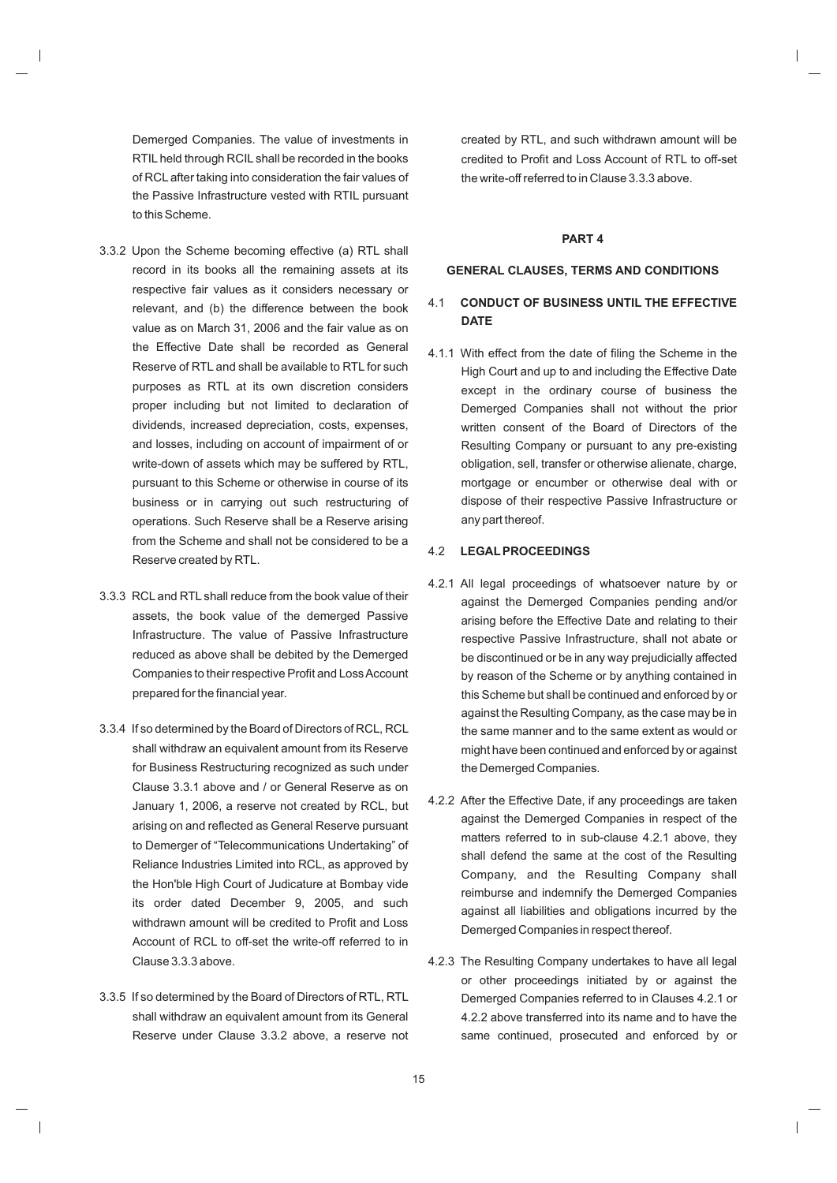Demerged Companies. The value of investments in RTIL held through RCIL shall be recorded in the books of RCL after taking into consideration the fair values of the Passive Infrastructure vested with RTIL pursuant to this Scheme.

- 3.3.2 Upon the Scheme becoming effective (a) RTL shall record in its books all the remaining assets at its respective fair values as it considers necessary or relevant, and (b) the difference between the book value as on March 31, 2006 and the fair value as on the Effective Date shall be recorded as General Reserve of RTL and shall be available to RTL for such purposes as RTL at its own discretion considers proper including but not limited to declaration of dividends, increased depreciation, costs, expenses, and losses, including on account of impairment of or write-down of assets which may be suffered by RTL, pursuant to this Scheme or otherwise in course of its business or in carrying out such restructuring of operations. Such Reserve shall be a Reserve arising from the Scheme and shall not be considered to be a Reserve created by RTL.
- 3.3.3 RCL and RTL shall reduce from the book value of their assets, the book value of the demerged Passive Infrastructure. The value of Passive Infrastructure reduced as above shall be debited by the Demerged Companies to their respective Profit and Loss Account prepared for the financial year.
- 3.3.4 If so determined by the Board of Directors of RCL, RCL shall withdraw an equivalent amount from its Reserve for Business Restructuring recognized as such under Clause 3.3.1 above and / or General Reserve as on January 1, 2006, a reserve not created by RCL, but arising on and reflected as General Reserve pursuant to Demerger of "Telecommunications Undertaking" of Reliance Industries Limited into RCL, as approved by the Hon'ble High Court of Judicature at Bombay vide its order dated December 9, 2005, and such withdrawn amount will be credited to Profit and Loss Account of RCL to off-set the write-off referred to in Clause 3.3.3 above.
- 3.3.5 If so determined by the Board of Directors of RTL, RTL shall withdraw an equivalent amount from its General Reserve under Clause 3.3.2 above, a reserve not

created by RTL, and such withdrawn amount will be credited to Profit and Loss Account of RTL to off-set the write-off referred to in Clause 3.3.3 above.

#### **PART 4**

#### **GENERAL CLAUSES, TERMS AND CONDITIONS**

### 4.1 **CONDUCT OF BUSINESS UNTIL THE EFFECTIVE DATE**

4.1.1 With effect from the date of filing the Scheme in the High Court and up to and including the Effective Date except in the ordinary course of business the Demerged Companies shall not without the prior written consent of the Board of Directors of the Resulting Company or pursuant to any pre-existing obligation, sell, transfer or otherwise alienate, charge, mortgage or encumber or otherwise deal with or dispose of their respective Passive Infrastructure or any part thereof.

### 4.2 **LEGALPROCEEDINGS**

- 4.2.1 All legal proceedings of whatsoever nature by or against the Demerged Companies pending and/or arising before the Effective Date and relating to their respective Passive Infrastructure, shall not abate or be discontinued or be in any way prejudicially affected by reason of the Scheme or by anything contained in this Scheme but shall be continued and enforced by or against the Resulting Company, as the case may be in the same manner and to the same extent as would or might have been continued and enforced by or against the Demerged Companies.
- 4.2.2 After the Effective Date, if any proceedings are taken against the Demerged Companies in respect of the matters referred to in sub-clause 4.2.1 above, they shall defend the same at the cost of the Resulting Company, and the Resulting Company shall reimburse and indemnify the Demerged Companies against all liabilities and obligations incurred by the Demerged Companies in respect thereof.
- 4.2.3 The Resulting Company undertakes to have all legal or other proceedings initiated by or against the Demerged Companies referred to in Clauses 4.2.1 or 4.2.2 above transferred into its name and to have the same continued, prosecuted and enforced by or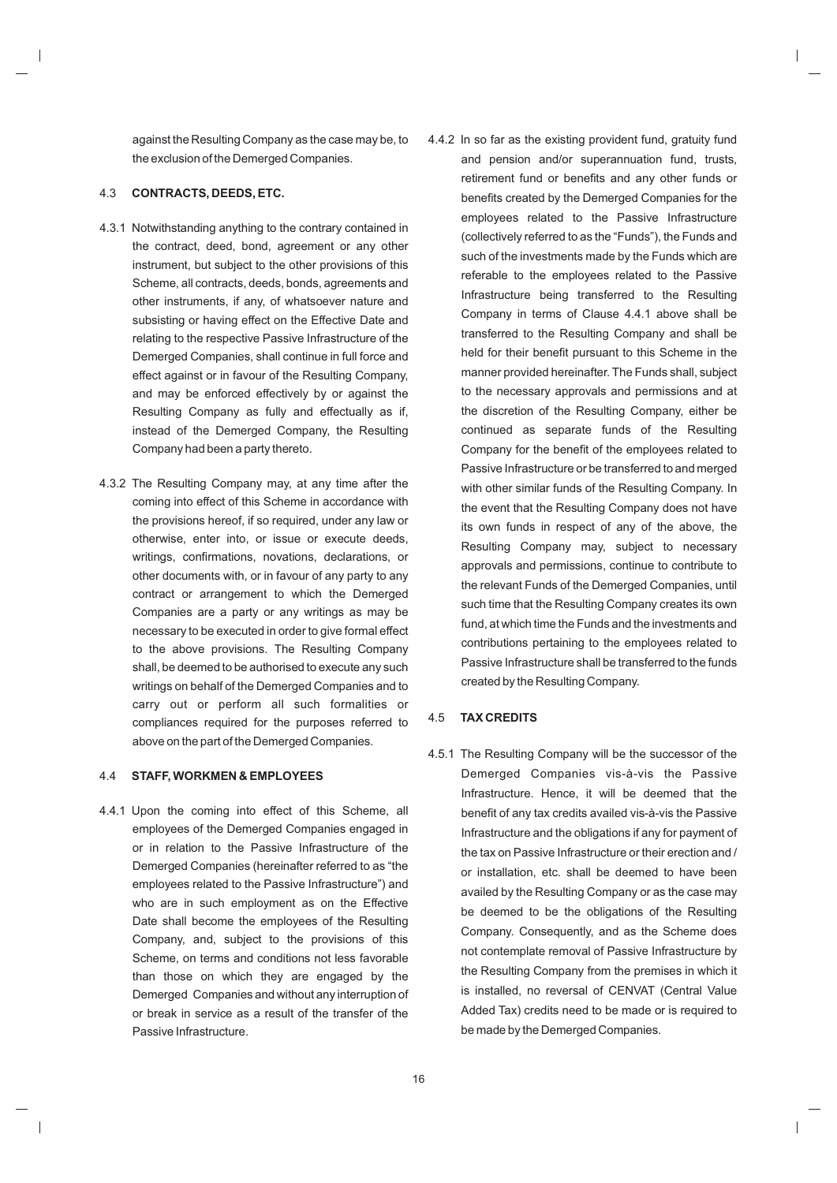against the Resulting Company as the case may be, to the exclusion of the Demerged Companies.

### 4.3 **CONTRACTS, DEEDS, ETC.**

- 4.3.1 Notwithstanding anything to the contrary contained in the contract, deed, bond, agreement or any other instrument, but subject to the other provisions of this Scheme, all contracts, deeds, bonds, agreements and other instruments, if any, of whatsoever nature and subsisting or having effect on the Effective Date and relating to the respective Passive Infrastructure of the Demerged Companies, shall continue in full force and effect against or in favour of the Resulting Company, and may be enforced effectively by or against the Resulting Company as fully and effectually as if, instead of the Demerged Company, the Resulting Company had been a party thereto.
- 4.3.2 The Resulting Company may, at any time after the coming into effect of this Scheme in accordance with the provisions hereof, if so required, under any law or otherwise, enter into, or issue or execute deeds, writings, confirmations, novations, declarations, or other documents with, or in favour of any party to any contract or arrangement to which the Demerged Companies are a party or any writings as may be necessary to be executed in order to give formal effect to the above provisions. The Resulting Company shall, be deemed to be authorised to execute any such writings on behalf of the Demerged Companies and to carry out or perform all such formalities or compliances required for the purposes referred to above on the part of the Demerged Companies.

### 4.4 **STAFF, WORKMEN & EMPLOYEES**

- 4.4.1 Upon the coming into effect of this Scheme, all employees of the Demerged Companies engaged in or in relation to the Passive Infrastructure of the Demerged Companies (hereinafter referred to as "the employees related to the Passive Infrastructure") and who are in such employment as on the Effective Date shall become the employees of the Resulting Company, and, subject to the provisions of this Scheme, on terms and conditions not less favorable than those on which they are engaged by the Demerged Companies and without any interruption of or break in service as a result of the transfer of the Passive Infrastructure.
- 4.4.2 In so far as the existing provident fund, gratuity fund and pension and/or superannuation fund, trusts, retirement fund or benefits and any other funds or benefits created by the Demerged Companies for the employees related to the Passive Infrastructure (collectively referred to as the "Funds"), the Funds and such of the investments made by the Funds which are referable to the employees related to the Passive Infrastructure being transferred to the Resulting Company in terms of Clause 4.4.1 above shall be transferred to the Resulting Company and shall be held for their benefit pursuant to this Scheme in the manner provided hereinafter. The Funds shall, subject to the necessary approvals and permissions and at the discretion of the Resulting Company, either be continued as separate funds of the Resulting Company for the benefit of the employees related to Passive Infrastructure or be transferred to and merged with other similar funds of the Resulting Company. In the event that the Resulting Company does not have its own funds in respect of any of the above, the Resulting Company may, subject to necessary approvals and permissions, continue to contribute to the relevant Funds of the Demerged Companies, until such time that the Resulting Company creates its own fund, at which time the Funds and the investments and contributions pertaining to the employees related to Passive Infrastructure shall be transferred to the funds created by the Resulting Company.

 $\overline{\phantom{a}}$ 

 $\overline{\phantom{a}}$ 

### 4.5 **TAX CREDITS**

4.5.1 The Resulting Company will be the successor of the Demerged Companies vis-à-vis the Passive Infrastructure. Hence, it will be deemed that the benefit of any tax credits availed vis-à-vis the Passive Infrastructure and the obligations if any for payment of the tax on Passive Infrastructure or their erection and / or installation, etc. shall be deemed to have been availed by the Resulting Company or as the case may be deemed to be the obligations of the Resulting Company. Consequently, and as the Scheme does not contemplate removal of Passive Infrastructure by the Resulting Company from the premises in which it is installed, no reversal of CENVAT (Central Value Added Tax) credits need to be made or is required to be made by the Demerged Companies.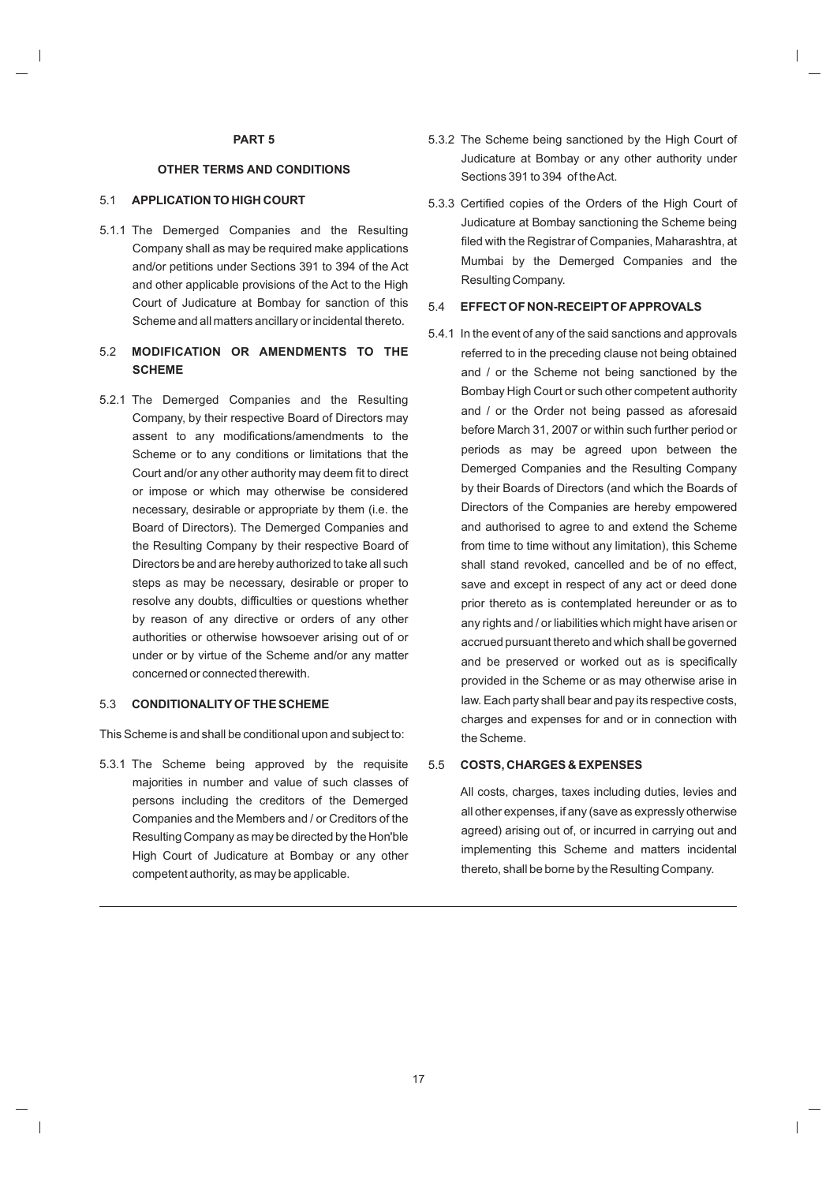#### **PART 5**

### **OTHER TERMS AND CONDITIONS**

### 5.1 **APPLICATION TO HIGH COURT**

5.1.1 The Demerged Companies and the Resulting Company shall as may be required make applications and/or petitions under Sections 391 to 394 of the Act and other applicable provisions of the Act to the High Court of Judicature at Bombay for sanction of this Scheme and all matters ancillary or incidental thereto.

### 5.2 **MODIFICATION OR AMENDMENTS TO THE SCHEME**

5.2.1 The Demerged Companies and the Resulting Company, by their respective Board of Directors may assent to any modifications/amendments to the Scheme or to any conditions or limitations that the Court and/or any other authority may deem fit to direct or impose or which may otherwise be considered necessary, desirable or appropriate by them (i.e. the Board of Directors). The Demerged Companies and the Resulting Company by their respective Board of Directors be and are hereby authorized to take all such steps as may be necessary, desirable or proper to resolve any doubts, difficulties or questions whether by reason of any directive or orders of any other authorities or otherwise howsoever arising out of or under or by virtue of the Scheme and/or any matter concerned or connected therewith.

### 5.3 **CONDITIONALITYOF THE SCHEME**

This Scheme is and shall be conditional upon and subject to:

5.3.1 The Scheme being approved by the requisite majorities in number and value of such classes of persons including the creditors of the Demerged Companies and the Members and / or Creditors of the Resulting Company as may be directed by the Hon'ble High Court of Judicature at Bombay or any other competent authority, as may be applicable.

- 5.3.2 The Scheme being sanctioned by the High Court of Judicature at Bombay or any other authority under Sections 391 to 394 of the Act.
- 5.3.3 Certified copies of the Orders of the High Court of Judicature at Bombay sanctioning the Scheme being filed with the Registrar of Companies, Maharashtra, at Mumbai by the Demerged Companies and the Resulting Company.

#### 5.4 **EFFECT OF NON-RECEIPT OF APPROVALS**

5.4.1 In the event of any of the said sanctions and approvals referred to in the preceding clause not being obtained and / or the Scheme not being sanctioned by the Bombay High Court or such other competent authority and / or the Order not being passed as aforesaid before March 31, 2007 or within such further period or periods as may be agreed upon between the Demerged Companies and the Resulting Company by their Boards of Directors (and which the Boards of Directors of the Companies are hereby empowered and authorised to agree to and extend the Scheme from time to time without any limitation), this Scheme shall stand revoked, cancelled and be of no effect, save and except in respect of any act or deed done prior thereto as is contemplated hereunder or as to any rights and / or liabilities which might have arisen or accrued pursuant thereto and which shall be governed and be preserved or worked out as is specifically provided in the Scheme or as may otherwise arise in law. Each party shall bear and pay its respective costs, charges and expenses for and or in connection with the Scheme.

### 5.5 **COSTS, CHARGES & EXPENSES**

All costs, charges, taxes including duties, levies and all other expenses, if any (save as expressly otherwise agreed) arising out of, or incurred in carrying out and implementing this Scheme and matters incidental thereto, shall be borne by the Resulting Company.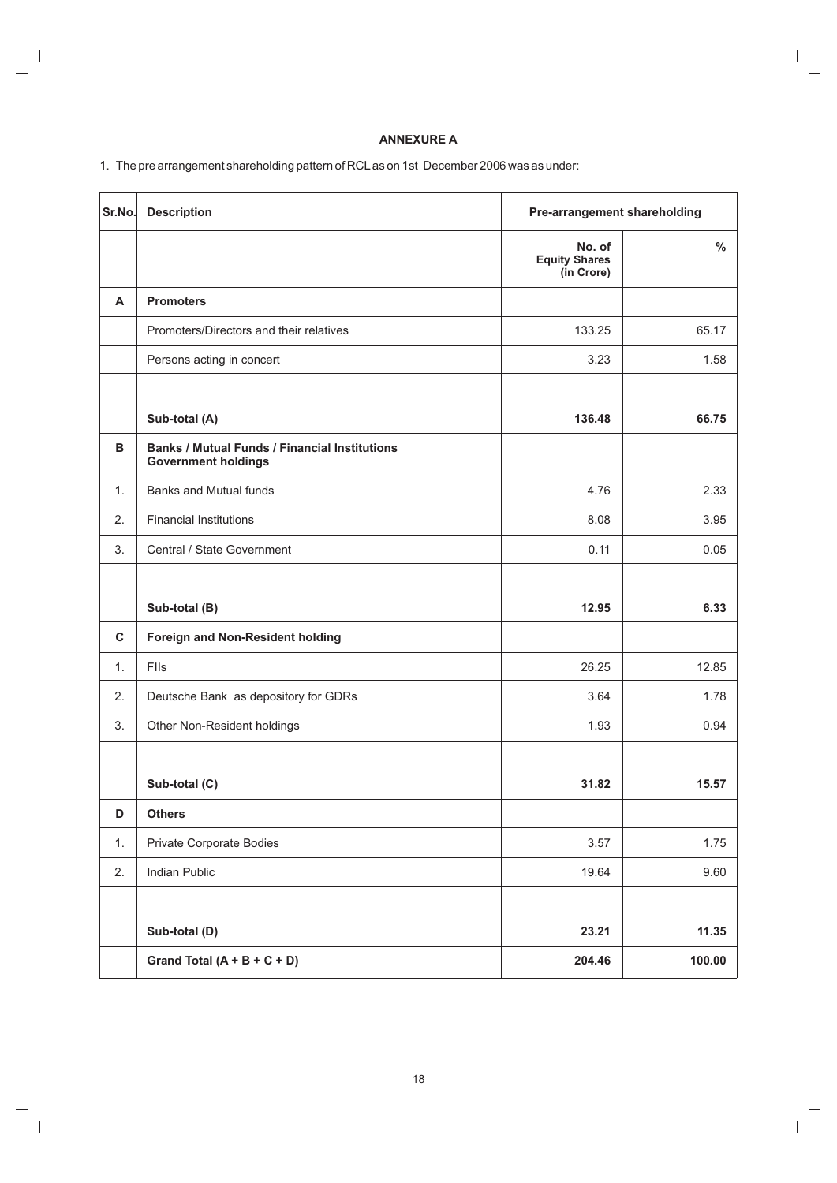### **ANNEXURE A**

 $\overline{\phantom{a}}$ 

 $\mathbb{R}$ 

1. The pre arrangement shareholding pattern of RCLas on 1st December 2006 was as under:

 $\overline{\phantom{a}}$ 

 $\overline{\phantom{0}}$  $\mathbb{R}^3$ 

| Sr.No. | <b>Description</b>                                                                 | Pre-arrangement shareholding                 |               |  |
|--------|------------------------------------------------------------------------------------|----------------------------------------------|---------------|--|
|        |                                                                                    | No. of<br><b>Equity Shares</b><br>(in Crore) | $\frac{0}{0}$ |  |
| A      | <b>Promoters</b>                                                                   |                                              |               |  |
|        | Promoters/Directors and their relatives                                            | 133.25                                       | 65.17         |  |
|        | Persons acting in concert                                                          | 3.23                                         | 1.58          |  |
|        |                                                                                    |                                              |               |  |
|        | Sub-total (A)                                                                      | 136.48                                       | 66.75         |  |
| B      | <b>Banks / Mutual Funds / Financial Institutions</b><br><b>Government holdings</b> |                                              |               |  |
| 1.     | <b>Banks and Mutual funds</b>                                                      | 4.76                                         | 2.33          |  |
| 2.     | <b>Financial Institutions</b>                                                      | 8.08                                         | 3.95          |  |
| 3.     | Central / State Government                                                         | 0.11                                         | 0.05          |  |
|        |                                                                                    |                                              |               |  |
|        | Sub-total (B)                                                                      | 12.95                                        | 6.33          |  |
| C      | Foreign and Non-Resident holding                                                   |                                              |               |  |
| 1.     | <b>FIIs</b>                                                                        | 26.25                                        | 12.85         |  |
| 2.     | Deutsche Bank as depository for GDRs                                               | 3.64                                         | 1.78          |  |
| 3.     | Other Non-Resident holdings                                                        | 1.93                                         | 0.94          |  |
|        |                                                                                    |                                              |               |  |
|        | Sub-total (C)                                                                      | 31.82                                        | 15.57         |  |
| D      | <b>Others</b>                                                                      |                                              |               |  |
| 1.     | Private Corporate Bodies                                                           | 3.57                                         | 1.75          |  |
| 2.     | Indian Public                                                                      | 19.64                                        | 9.60          |  |
|        |                                                                                    |                                              |               |  |
|        | Sub-total (D)                                                                      | 23.21                                        | 11.35         |  |
|        | Grand Total $(A + B + C + D)$                                                      | 204.46                                       | 100.00        |  |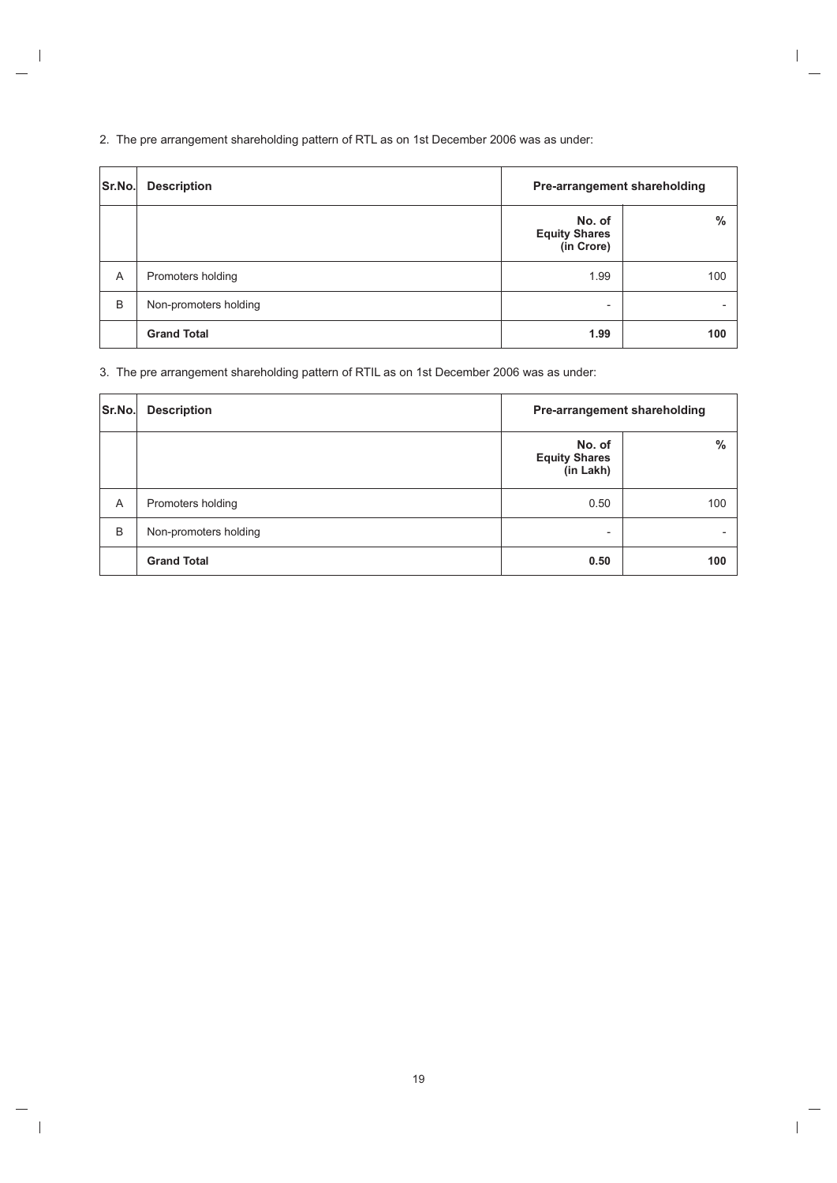2. The pre arrangement shareholding pattern of RTL as on 1st December 2006 was as under:

 $\overline{\phantom{a}}$ 

 $\overline{\phantom{a}}$ 

| Sr.No. | <b>Description</b>    | <b>Pre-arrangement shareholding</b>          |               |  |
|--------|-----------------------|----------------------------------------------|---------------|--|
|        |                       | No. of<br><b>Equity Shares</b><br>(in Crore) | $\frac{0}{0}$ |  |
| A      | Promoters holding     | 1.99                                         | 100           |  |
| B      | Non-promoters holding | $\overline{\phantom{a}}$                     |               |  |
|        | <b>Grand Total</b>    | 1.99                                         | 100           |  |

 $\overline{\phantom{a}}$ 

 $\overline{\phantom{a}}$ 

3. The pre arrangement shareholding pattern of RTIL as on 1st December 2006 was as under:

| Sr.No.         | <b>Description</b>    | Pre-arrangement shareholding                |               |  |
|----------------|-----------------------|---------------------------------------------|---------------|--|
|                |                       | No. of<br><b>Equity Shares</b><br>(in Lakh) | $\frac{0}{0}$ |  |
| $\overline{A}$ | Promoters holding     | 0.50                                        | 100           |  |
| B              | Non-promoters holding | $\overline{\phantom{a}}$                    |               |  |
|                | <b>Grand Total</b>    | 0.50                                        | 100           |  |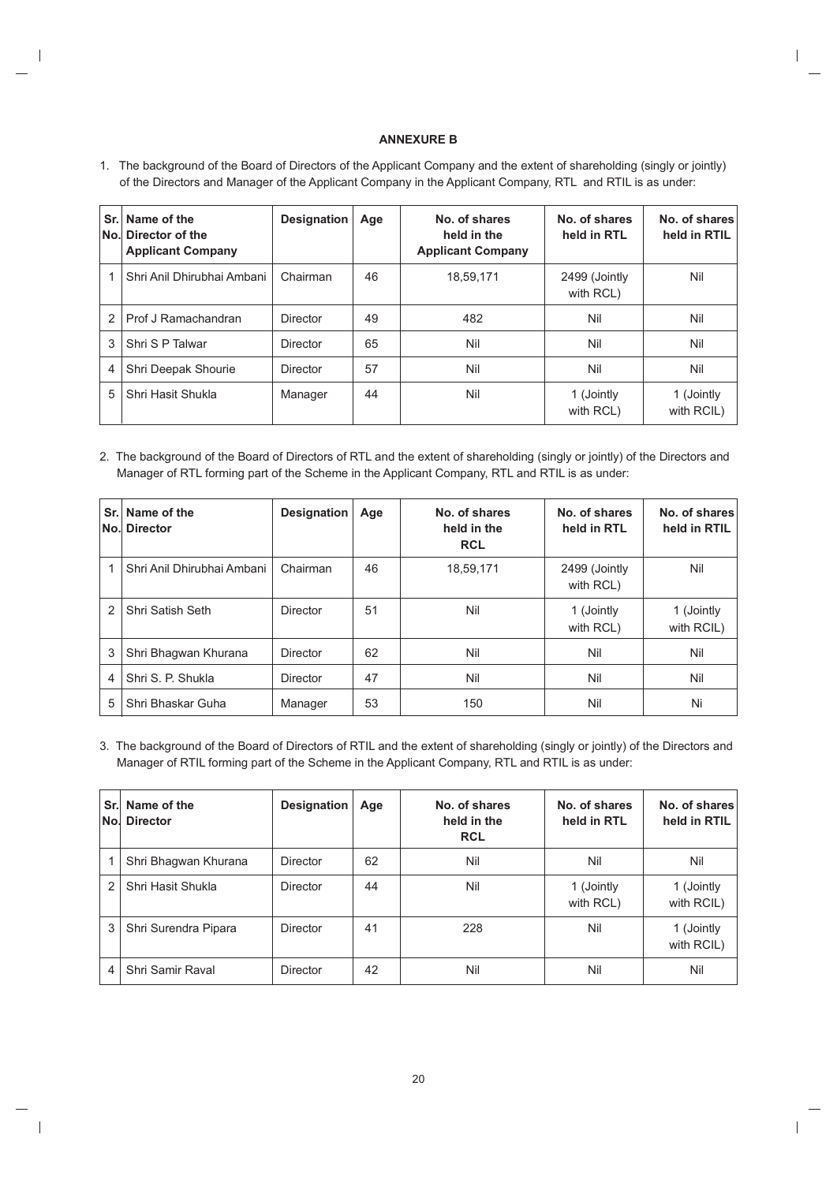### **ANNEXURE B**

 $\overline{\phantom{a}}$ 

 $\overline{\phantom{a}}$ 

 $\overline{\phantom{a}}$ 

 $\overline{\phantom{a}}$ 

1. The background of the Board of Directors of the Applicant Company and the extent of shareholding (singly or jointly) of the Directors and Manager of the Applicant Company in the Applicant Company, RTL and RTIL is as under:

| Sr.l<br>No. | Name of the<br>Director of the<br><b>Applicant Company</b> | <b>Designation</b> | Age | No. of shares<br>held in the<br><b>Applicant Company</b> | No. of shares<br>held in RTL | No. of shares<br>held in RTIL |
|-------------|------------------------------------------------------------|--------------------|-----|----------------------------------------------------------|------------------------------|-------------------------------|
|             | Shri Anil Dhirubhai Ambani                                 | Chairman           | 46  | 18,59,171                                                | 2499 (Jointly<br>with RCL)   | Nil                           |
| 2           | Prof J Ramachandran                                        | Director           | 49  | 482                                                      | Nil                          | Nil                           |
| 3           | Shri S P Talwar                                            | <b>Director</b>    | 65  | Nil                                                      | Nil                          | Nil                           |
| 4           | Shri Deepak Shourie                                        | Director           | 57  | Nil                                                      | Nil                          | Nil                           |
| 5           | Shri Hasit Shukla                                          | Manager            | 44  | Nil                                                      | 1 (Jointly<br>with RCL)      | 1 (Jointly<br>with RCIL)      |

2. The background of the Board of Directors of RTL and the extent of shareholding (singly or jointly) of the Directors and Manager of RTL forming part of the Scheme in the Applicant Company, RTL and RTIL is as under:

| Sr.<br>No. | Name of the<br><b>Director</b> | <b>Designation</b> | Age | No. of shares<br>held in the<br><b>RCL</b> | No. of shares<br>held in RTL | No. of shares<br>held in RTIL |
|------------|--------------------------------|--------------------|-----|--------------------------------------------|------------------------------|-------------------------------|
|            | Shri Anil Dhirubhai Ambani     | Chairman           | 46  | 18,59,171                                  | 2499 (Jointly<br>with RCL)   | Nil                           |
| 2          | Shri Satish Seth               | <b>Director</b>    | 51  | Nil                                        | 1 (Jointly<br>with RCL)      | 1 (Jointly<br>with RCIL)      |
| 3          | Shri Bhagwan Khurana           | <b>Director</b>    | 62  | Nil                                        | Nil                          | Nil                           |
| 4          | Shri S. P. Shukla              | <b>Director</b>    | 47  | Nil                                        | Nil                          | Nil                           |
| 5          | Shri Bhaskar Guha              | Manager            | 53  | 150                                        | Nil                          | Ni                            |

3. The background of the Board of Directors of RTIL and the extent of shareholding (singly or jointly) of the Directors and Manager of RTIL forming part of the Scheme in the Applicant Company, RTL and RTIL is as under:

| Sr.<br>No. | Name of the<br><b>Director</b> | <b>Designation</b> | Age | No. of shares<br>held in the<br><b>RCL</b> | No. of shares<br>held in RTL | No. of shares<br>held in RTIL |
|------------|--------------------------------|--------------------|-----|--------------------------------------------|------------------------------|-------------------------------|
|            | Shri Bhagwan Khurana           | <b>Director</b>    | 62  | Nil                                        | Nil                          | Nil                           |
| 2          | Shri Hasit Shukla              | <b>Director</b>    | 44  | Nil                                        | 1 (Jointly<br>with RCL)      | 1 (Jointly<br>with RCIL)      |
| 3          | Shri Surendra Pipara           | <b>Director</b>    | 41  | 228                                        | Nil                          | 1 (Jointly<br>with RCIL)      |
| 4          | Shri Samir Raval               | <b>Director</b>    | 42  | Nil                                        | Nil                          | Nil                           |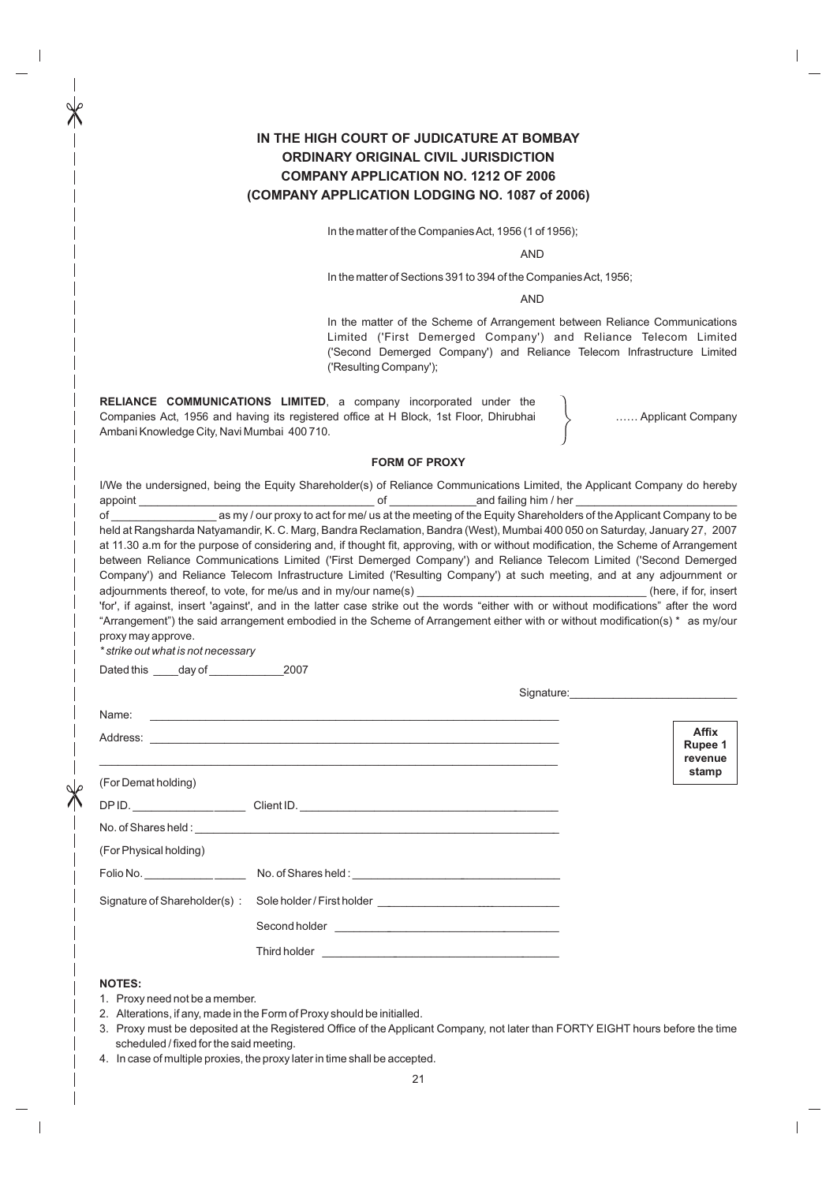|                                                                               | IN THE HIGH COURT OF JUDICATURE AT BOMBAY<br><b>ORDINARY ORIGINAL CIVIL JURISDICTION</b><br><b>COMPANY APPLICATION NO. 1212 OF 2006</b><br>(COMPANY APPLICATION LODGING NO. 1087 of 2006)                                                                                                                                                                                                                                                                                                                                                                                                                                                                                                                                                                                                                                                                                                                                    |                                    |
|-------------------------------------------------------------------------------|------------------------------------------------------------------------------------------------------------------------------------------------------------------------------------------------------------------------------------------------------------------------------------------------------------------------------------------------------------------------------------------------------------------------------------------------------------------------------------------------------------------------------------------------------------------------------------------------------------------------------------------------------------------------------------------------------------------------------------------------------------------------------------------------------------------------------------------------------------------------------------------------------------------------------|------------------------------------|
|                                                                               |                                                                                                                                                                                                                                                                                                                                                                                                                                                                                                                                                                                                                                                                                                                                                                                                                                                                                                                              |                                    |
|                                                                               | In the matter of the Companies Act, 1956 (1 of 1956);                                                                                                                                                                                                                                                                                                                                                                                                                                                                                                                                                                                                                                                                                                                                                                                                                                                                        |                                    |
|                                                                               | AND                                                                                                                                                                                                                                                                                                                                                                                                                                                                                                                                                                                                                                                                                                                                                                                                                                                                                                                          |                                    |
|                                                                               | In the matter of Sections 391 to 394 of the Companies Act, 1956;<br><b>AND</b>                                                                                                                                                                                                                                                                                                                                                                                                                                                                                                                                                                                                                                                                                                                                                                                                                                               |                                    |
|                                                                               | In the matter of the Scheme of Arrangement between Reliance Communications<br>Limited ('First Demerged Company') and Reliance Telecom Limited<br>('Second Demerged Company') and Reliance Telecom Infrastructure Limited<br>('Resulting Company');                                                                                                                                                                                                                                                                                                                                                                                                                                                                                                                                                                                                                                                                           |                                    |
| Ambani Knowledge City, Navi Mumbai 400710.                                    | <b>RELIANCE COMMUNICATIONS LIMITED, a company incorporated under the</b><br>Applicant Company<br>Companies Act, 1956 and having its registered office at H Block, 1st Floor, Dhirubhai                                                                                                                                                                                                                                                                                                                                                                                                                                                                                                                                                                                                                                                                                                                                       |                                    |
|                                                                               | <b>FORM OF PROXY</b>                                                                                                                                                                                                                                                                                                                                                                                                                                                                                                                                                                                                                                                                                                                                                                                                                                                                                                         |                                    |
|                                                                               |                                                                                                                                                                                                                                                                                                                                                                                                                                                                                                                                                                                                                                                                                                                                                                                                                                                                                                                              |                                    |
| proxy may approve.<br>* strike out what is not necessary<br>Dated this day of | held at Rangsharda Natyamandir, K. C. Marg, Bandra Reclamation, Bandra (West), Mumbai 400 050 on Saturday, January 27, 2007<br>at 11.30 a.m for the purpose of considering and, if thought fit, approving, with or without modification, the Scheme of Arrangement<br>between Reliance Communications Limited ('First Demerged Company') and Reliance Telecom Limited ('Second Demerged<br>Company') and Reliance Telecom Infrastructure Limited ('Resulting Company') at such meeting, and at any adjournment or<br>adjournments thereof, to vote, for me/us and in my/our name(s) _________________________________(here, if for, insert<br>'for', if against, insert 'against', and in the latter case strike out the words "either with or without modifications" after the word<br>"Arrangement") the said arrangement embodied in the Scheme of Arrangement either with or without modification(s) * as my/our<br>2007 |                                    |
|                                                                               | Signature: explorer and the state of the state of the state of the state of the state of the state of the state of the state of the state of the state of the state of the state of the state of the state of the state of the                                                                                                                                                                                                                                                                                                                                                                                                                                                                                                                                                                                                                                                                                               |                                    |
| Name:                                                                         |                                                                                                                                                                                                                                                                                                                                                                                                                                                                                                                                                                                                                                                                                                                                                                                                                                                                                                                              | <b>Affix</b><br>Rupee 1<br>revenue |
| (For Demat holding)                                                           |                                                                                                                                                                                                                                                                                                                                                                                                                                                                                                                                                                                                                                                                                                                                                                                                                                                                                                                              | stamp                              |
|                                                                               |                                                                                                                                                                                                                                                                                                                                                                                                                                                                                                                                                                                                                                                                                                                                                                                                                                                                                                                              |                                    |
|                                                                               |                                                                                                                                                                                                                                                                                                                                                                                                                                                                                                                                                                                                                                                                                                                                                                                                                                                                                                                              |                                    |
| (For Physical holding)                                                        |                                                                                                                                                                                                                                                                                                                                                                                                                                                                                                                                                                                                                                                                                                                                                                                                                                                                                                                              |                                    |
|                                                                               |                                                                                                                                                                                                                                                                                                                                                                                                                                                                                                                                                                                                                                                                                                                                                                                                                                                                                                                              |                                    |
| Signature of Shareholder(s):                                                  |                                                                                                                                                                                                                                                                                                                                                                                                                                                                                                                                                                                                                                                                                                                                                                                                                                                                                                                              |                                    |
|                                                                               |                                                                                                                                                                                                                                                                                                                                                                                                                                                                                                                                                                                                                                                                                                                                                                                                                                                                                                                              |                                    |

 $\overline{\phantom{a}}$ 

 $\overline{\phantom{a}}$ 

2. Alterations, if any, made in the Form of Proxy should be initialled.

I I

 $\overline{\phantom{a}}$ 

 $\overline{1}$ 

 $\overline{\phantom{a}}$ 

- 3. Proxy must be deposited at the Registered Office of the Applicant Company, not later than FORTY EIGHT hours before the time scheduled / fixed for the said meeting.
- 4. In case of multiple proxies, the proxy later in time shall be accepted.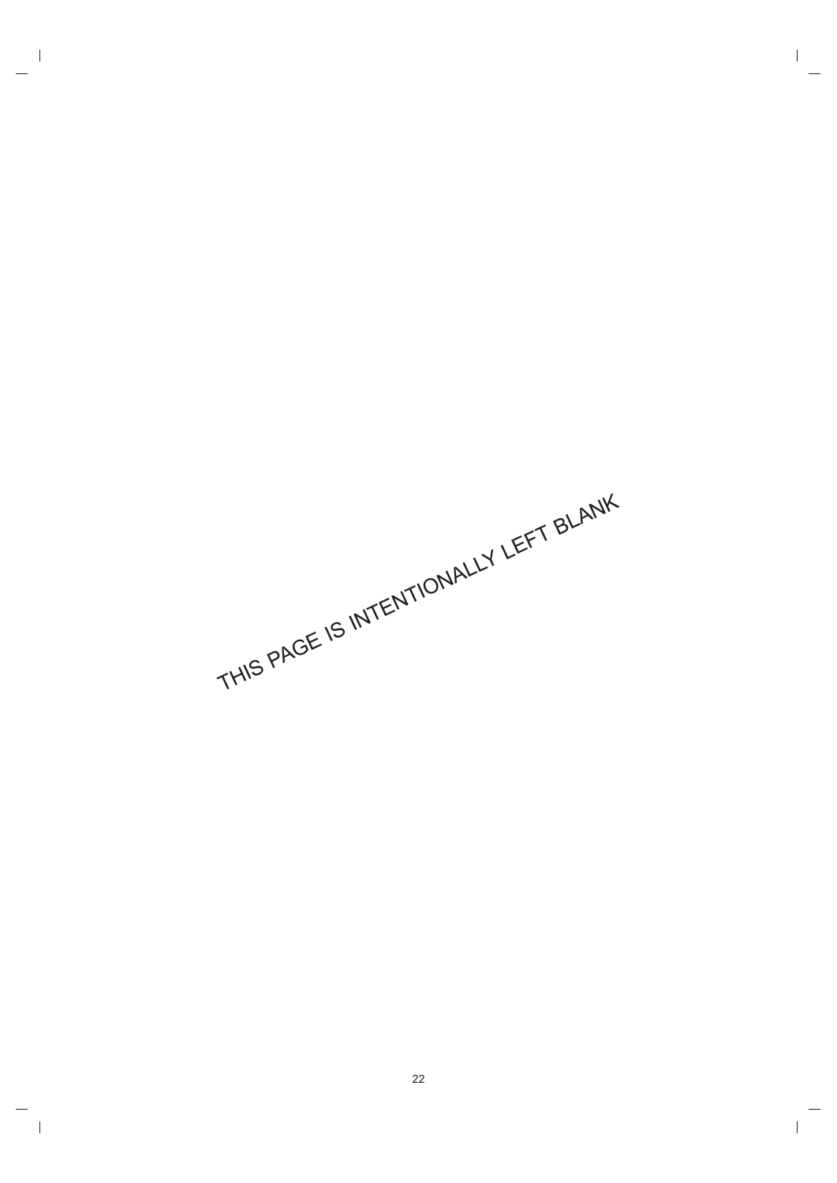THIS PAGE IS INTENTIONALLY LEFT BLANK S PAGE L B

 $\bar{\bar{\bar{z}}}$ 

 $\begin{array}{c} \begin{array}{c} \begin{array}{c} \end{array} \\ \begin{array}{c} \end{array} \end{array} \end{array}$ 

 $\frac{1}{2}$ 

 $\frac{1}{\sqrt{2}}$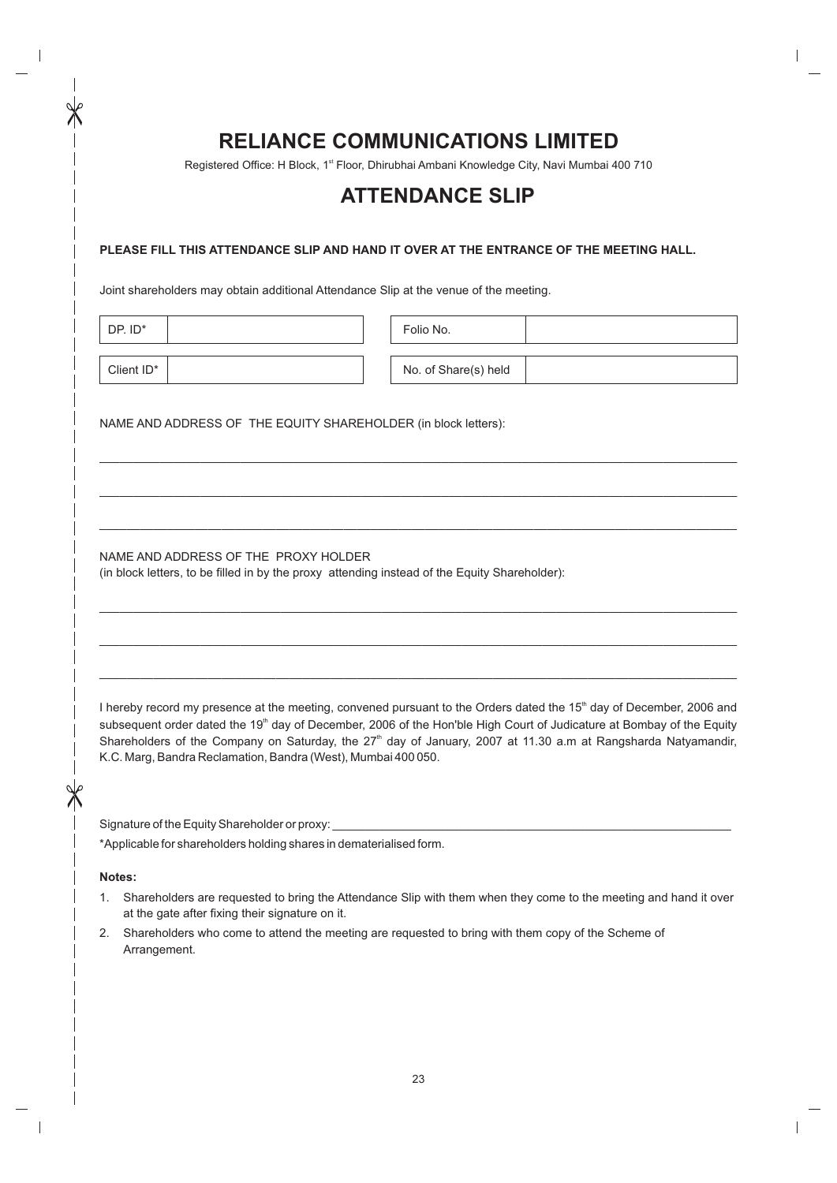# **RELIANCE COMMUNICATIONS LIMITED**

 $\overline{\phantom{a}}$ 

 $\overline{\phantom{a}}$ 

Registered Office: H Block, 1<sup>st</sup> Floor, Dhirubhai Ambani Knowledge City, Navi Mumbai 400 710

## **ATTENDANCE SLIP**

 $\overline{\phantom{a}}$ 

| $DP.$ $ID^*$                                                                                                                          | Folio No.            |                                                                                                                                                                                                                                                                                                                                                                                                     |
|---------------------------------------------------------------------------------------------------------------------------------------|----------------------|-----------------------------------------------------------------------------------------------------------------------------------------------------------------------------------------------------------------------------------------------------------------------------------------------------------------------------------------------------------------------------------------------------|
| Client ID*                                                                                                                            | No. of Share(s) held |                                                                                                                                                                                                                                                                                                                                                                                                     |
| NAME AND ADDRESS OF THE EQUITY SHAREHOLDER (in block letters):                                                                        |                      |                                                                                                                                                                                                                                                                                                                                                                                                     |
|                                                                                                                                       |                      |                                                                                                                                                                                                                                                                                                                                                                                                     |
|                                                                                                                                       |                      |                                                                                                                                                                                                                                                                                                                                                                                                     |
|                                                                                                                                       |                      |                                                                                                                                                                                                                                                                                                                                                                                                     |
|                                                                                                                                       |                      |                                                                                                                                                                                                                                                                                                                                                                                                     |
|                                                                                                                                       |                      |                                                                                                                                                                                                                                                                                                                                                                                                     |
| NAME AND ADDRESS OF THE PROXY HOLDER<br>(in block letters, to be filled in by the proxy attending instead of the Equity Shareholder): |                      |                                                                                                                                                                                                                                                                                                                                                                                                     |
|                                                                                                                                       |                      |                                                                                                                                                                                                                                                                                                                                                                                                     |
|                                                                                                                                       |                      |                                                                                                                                                                                                                                                                                                                                                                                                     |
| K.C. Marg, Bandra Reclamation, Bandra (West), Mumbai 400 050.                                                                         |                      | I hereby record my presence at the meeting, convened pursuant to the Orders dated the 15 <sup>th</sup> day of December, 2006 and<br>subsequent order dated the 19 <sup>th</sup> day of December, 2006 of the Hon'ble High Court of Judicature at Bombay of the Equity<br>Shareholders of the Company on Saturday, the 27 <sup>th</sup> day of January, 2007 at 11.30 a.m at Rangsharda Natyamandir, |
|                                                                                                                                       |                      |                                                                                                                                                                                                                                                                                                                                                                                                     |
| Signature of the Equity Shareholder or proxy:                                                                                         |                      |                                                                                                                                                                                                                                                                                                                                                                                                     |

- 1. Shareholders are requested to bring the Attendance Slip with them when they come to the meeting and hand it over at the gate after fixing their signature on it.
- 2. Shareholders who come to attend the meeting are requested to bring with them copy of the Scheme of Arrangement.